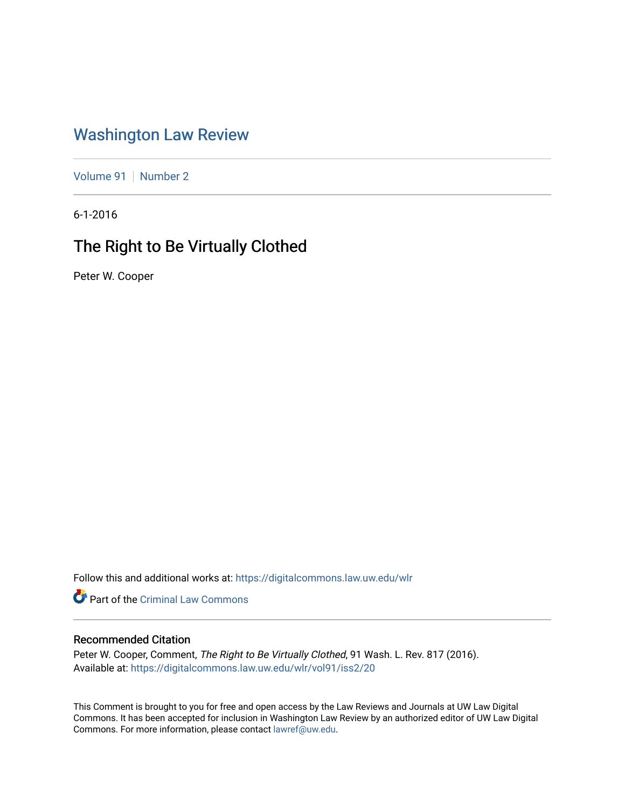## [Washington Law Review](https://digitalcommons.law.uw.edu/wlr)

[Volume 91](https://digitalcommons.law.uw.edu/wlr/vol91) | [Number 2](https://digitalcommons.law.uw.edu/wlr/vol91/iss2)

6-1-2016

# The Right to Be Virtually Clothed

Peter W. Cooper

Follow this and additional works at: [https://digitalcommons.law.uw.edu/wlr](https://digitalcommons.law.uw.edu/wlr?utm_source=digitalcommons.law.uw.edu%2Fwlr%2Fvol91%2Fiss2%2F20&utm_medium=PDF&utm_campaign=PDFCoverPages)

Part of the [Criminal Law Commons](http://network.bepress.com/hgg/discipline/912?utm_source=digitalcommons.law.uw.edu%2Fwlr%2Fvol91%2Fiss2%2F20&utm_medium=PDF&utm_campaign=PDFCoverPages) 

## Recommended Citation

Peter W. Cooper, Comment, The Right to Be Virtually Clothed, 91 Wash. L. Rev. 817 (2016). Available at: [https://digitalcommons.law.uw.edu/wlr/vol91/iss2/20](https://digitalcommons.law.uw.edu/wlr/vol91/iss2/20?utm_source=digitalcommons.law.uw.edu%2Fwlr%2Fvol91%2Fiss2%2F20&utm_medium=PDF&utm_campaign=PDFCoverPages) 

This Comment is brought to you for free and open access by the Law Reviews and Journals at UW Law Digital Commons. It has been accepted for inclusion in Washington Law Review by an authorized editor of UW Law Digital Commons. For more information, please contact [lawref@uw.edu](mailto:lawref@uw.edu).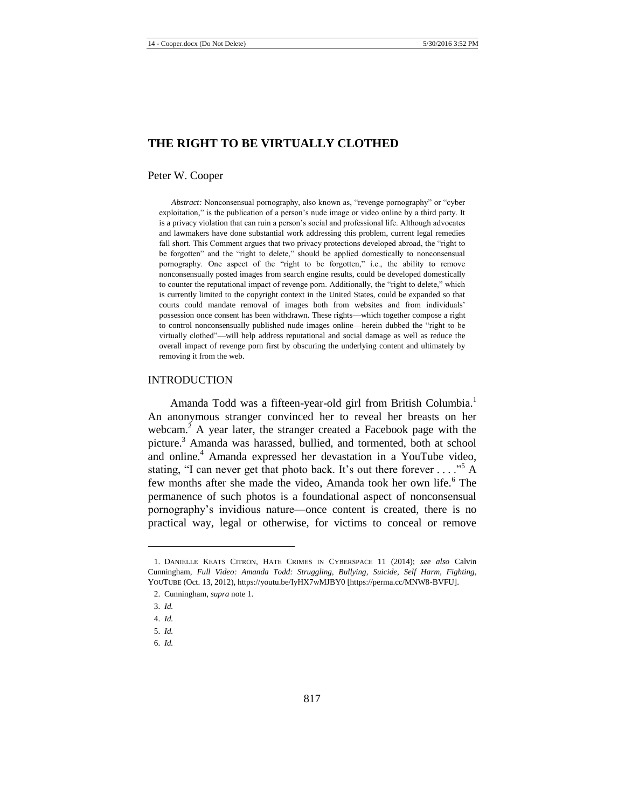#### **THE RIGHT TO BE VIRTUALLY CLOTHED**

#### Peter W. Cooper

*Abstract:* Nonconsensual pornography, also known as, "revenge pornography" or "cyber exploitation," is the publication of a person's nude image or video online by a third party. It is a privacy violation that can ruin a person's social and professional life. Although advocates and lawmakers have done substantial work addressing this problem, current legal remedies fall short. This Comment argues that two privacy protections developed abroad, the "right to be forgotten" and the "right to delete," should be applied domestically to nonconsensual pornography. One aspect of the "right to be forgotten," i.e., the ability to remove nonconsensually posted images from search engine results, could be developed domestically to counter the reputational impact of revenge porn. Additionally, the "right to delete," which is currently limited to the copyright context in the United States, could be expanded so that courts could mandate removal of images both from websites and from individuals' possession once consent has been withdrawn. These rights—which together compose a right to control nonconsensually published nude images online—herein dubbed the "right to be virtually clothed"—will help address reputational and social damage as well as reduce the overall impact of revenge porn first by obscuring the underlying content and ultimately by removing it from the web.

#### INTRODUCTION

<span id="page-1-0"></span>Amanda Todd was a fifteen-year-old girl from British Columbia.<sup>1</sup> An anonymous stranger convinced her to reveal her breasts on her webcam. $<sup>2</sup>$  A year later, the stranger created a Facebook page with the</sup> picture.<sup>3</sup> Amanda was harassed, bullied, and tormented, both at school and online.<sup>4</sup> Amanda expressed her devastation in a YouTube video, stating, "I can never get that photo back. It's out there forever  $\dots$ ."<sup>5</sup> A few months after she made the video. Amanda took her own life.<sup>6</sup> The permanence of such photos is a foundational aspect of nonconsensual pornography's invidious nature—once content is created, there is no practical way, legal or otherwise, for victims to conceal or remove

<sup>1.</sup> DANIELLE KEATS CITRON, HATE CRIMES IN CYBERSPACE 11 (2014); *see also* Calvin Cunningham, *Full Video: Amanda Todd: Struggling, Bullying, Suicide, Self Harm, Fighting*, YOUTUBE (Oct. 13, 2012), https://youtu.be/IyHX7wMJBY0 [https://perma.cc/MNW8-BVFU].

<sup>2.</sup> Cunningham, *supra* not[e 1.](#page-1-0)

<sup>3.</sup> *Id.*

<sup>4.</sup> *Id.*

<sup>5.</sup> *Id.*

<sup>6.</sup> *Id.*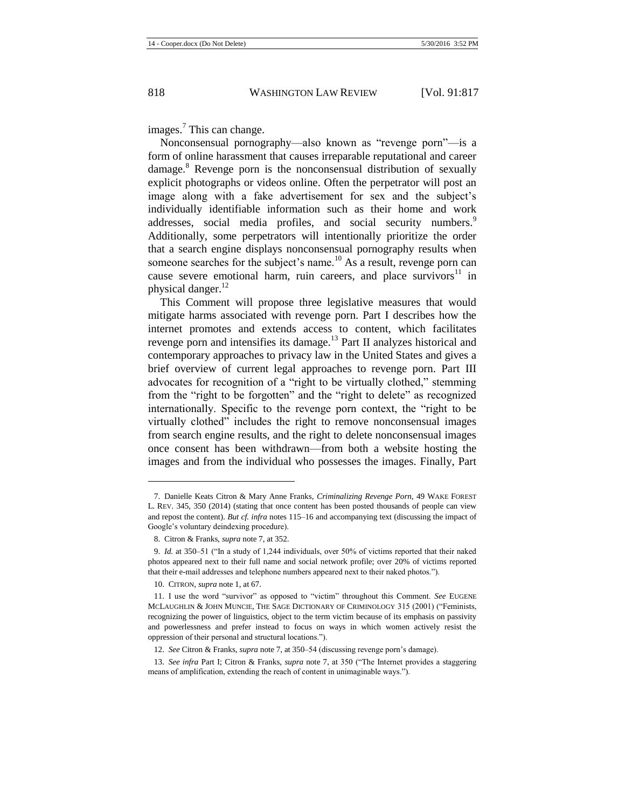<span id="page-2-0"></span>images.<sup>7</sup> This can change.

Nonconsensual pornography—also known as "revenge porn"—is a form of online harassment that causes irreparable reputational and career  $\alpha$  damage.<sup>8</sup> Revenge porn is the nonconsensual distribution of sexually explicit photographs or videos online. Often the perpetrator will post an image along with a fake advertisement for sex and the subject's individually identifiable information such as their home and work addresses, social media profiles, and social security numbers.<sup>9</sup> Additionally, some perpetrators will intentionally prioritize the order that a search engine displays nonconsensual pornography results when someone searches for the subject's name.<sup>10</sup> As a result, revenge porn can cause severe emotional harm, ruin careers, and place survivors $11$  in physical danger.<sup>12</sup>

This Comment will propose three legislative measures that would mitigate harms associated with revenge porn. Part I describes how the internet promotes and extends access to content, which facilitates revenge porn and intensifies its damage.<sup>13</sup> Part II analyzes historical and contemporary approaches to privacy law in the United States and gives a brief overview of current legal approaches to revenge porn. Part III advocates for recognition of a "right to be virtually clothed," stemming from the "right to be forgotten" and the "right to delete" as recognized internationally. Specific to the revenge porn context, the "right to be virtually clothed" includes the right to remove nonconsensual images from search engine results, and the right to delete nonconsensual images once consent has been withdrawn—from both a website hosting the images and from the individual who possesses the images. Finally, Part

<sup>7.</sup> Danielle Keats Citron & Mary Anne Franks, *Criminalizing Revenge Porn*, 49 WAKE FOREST L. REV. 345, 350 (2014) (stating that once content has been posted thousands of people can view and repost the content). *But cf. infra* notes [115–](#page-14-0)16 and accompanying text (discussing the impact of Google's voluntary deindexing procedure).

<sup>8.</sup> Citron & Franks, *supra* not[e 7,](#page-2-0) at 352.

<sup>9.</sup> *Id.* at 350–51 ("In a study of 1,244 individuals, over 50% of victims reported that their naked photos appeared next to their full name and social network profile; over 20% of victims reported that their e-mail addresses and telephone numbers appeared next to their naked photos.").

<sup>10.</sup> CITRON, *supra* not[e 1,](#page-1-0) at 67.

<sup>11.</sup> I use the word "survivor" as opposed to "victim" throughout this Comment. *See* EUGENE MCLAUGHLIN & JOHN MUNCIE, THE SAGE DICTIONARY OF CRIMINOLOGY 315 (2001) ("Feminists, recognizing the power of linguistics, object to the term victim because of its emphasis on passivity and powerlessness and prefer instead to focus on ways in which women actively resist the oppression of their personal and structural locations.").

<sup>12.</sup> *See* Citron & Franks, *supra* not[e 7,](#page-2-0) at 350–54 (discussing revenge porn's damage).

<sup>13.</sup> *See infra* Part I; Citron & Franks, *supra* note [7,](#page-2-0) at 350 ("The Internet provides a staggering means of amplification, extending the reach of content in unimaginable ways.").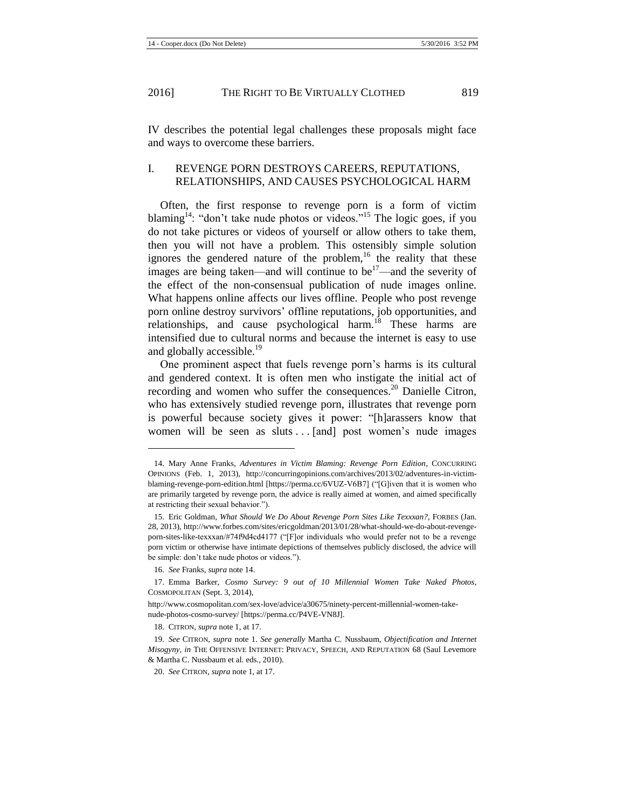IV describes the potential legal challenges these proposals might face and ways to overcome these barriers.

#### I. REVENGE PORN DESTROYS CAREERS, REPUTATIONS, RELATIONSHIPS, AND CAUSES PSYCHOLOGICAL HARM

<span id="page-3-0"></span>Often, the first response to revenge porn is a form of victim blaming<sup>14</sup>: "don't take nude photos or videos."<sup>15</sup> The logic goes, if you do not take pictures or videos of yourself or allow others to take them, then you will not have a problem. This ostensibly simple solution ignores the gendered nature of the problem, $16$  the reality that these images are being taken—and will continue to be<sup>17</sup>—and the severity of the effect of the non-consensual publication of nude images online. What happens online affects our lives offline. People who post revenge porn online destroy survivors' offline reputations, job opportunities, and relationships, and cause psychological harm.<sup>18</sup> These harms are intensified due to cultural norms and because the internet is easy to use and globally accessible.<sup>19</sup>

<span id="page-3-1"></span>One prominent aspect that fuels revenge porn's harms is its cultural and gendered context. It is often men who instigate the initial act of recording and women who suffer the consequences.<sup>20</sup> Danielle Citron, who has extensively studied revenge porn, illustrates that revenge porn is powerful because society gives it power: "[h]arassers know that women will be seen as sluts . . . [and] post women's nude images

<sup>14.</sup> Mary Anne Franks, *Adventures in Victim Blaming: Revenge Porn Edition*, CONCURRING OPINIONS (Feb. 1, 2013), http://concurringopinions.com/archives/2013/02/adventures-in-victimblaming-revenge-porn-edition.html [https://perma.cc/6VUZ-V6B7] ("[G]iven that it is women who are primarily targeted by revenge porn, the advice is really aimed at women, and aimed specifically at restricting their sexual behavior.").

<sup>15.</sup> Eric Goldman, *What Should We Do About Revenge Porn Sites Like Texxxan?*, FORBES (Jan. 28, 2013), http://www.forbes.com/sites/ericgoldman/2013/01/28/what-should-we-do-about-revengeporn-sites-like-texxxan/#74f9d4cd4177 ("[F]or individuals who would prefer not to be a revenge porn victim or otherwise have intimate depictions of themselves publicly disclosed, the advice will be simple: don't take nude photos or videos.").

<sup>16.</sup> *See* Franks, *supra* not[e 14.](#page-3-0)

<sup>17.</sup> Emma Barker, *Cosmo Survey: 9 out of 10 Millennial Women Take Naked Photos*, COSMOPOLITAN (Sept. 3, 2014),

http://www.cosmopolitan.com/sex-love/advice/a30675/ninety-percent-millennial-women-takenude-photos-cosmo-survey/ [https://perma.cc/P4VE-VN8J].

<sup>18.</sup> CITRON, *supra* not[e 1,](#page-1-0) at 17.

<sup>19.</sup> *See* CITRON, *supra* note [1.](#page-1-0) *See generally* Martha C. Nussbaum, *Objectification and Internet Misogyny*, *in* THE OFFENSIVE INTERNET: PRIVACY, SPEECH, AND REPUTATION 68 (Saul Levemore & Martha C. Nussbaum et al. eds., 2010).

<sup>20.</sup> *See* CITRON, *supra* not[e 1,](#page-1-0) at 17.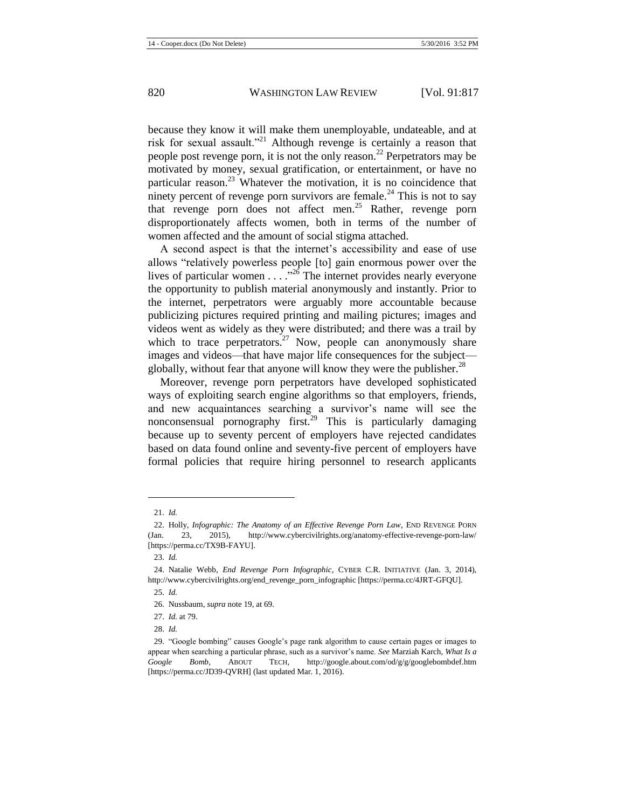because they know it will make them unemployable, undateable, and at risk for sexual assault."<sup>21</sup> Although revenge is certainly a reason that people post revenge porn, it is not the only reason.<sup>22</sup> Perpetrators may be motivated by money, sexual gratification, or entertainment, or have no particular reason. $^{23}$  Whatever the motivation, it is no coincidence that ninety percent of revenge porn survivors are female.<sup>24</sup> This is not to say that revenge porn does not affect men.<sup>25</sup> Rather, revenge porn disproportionately affects women, both in terms of the number of women affected and the amount of social stigma attached.

A second aspect is that the internet's accessibility and ease of use allows "relatively powerless people [to] gain enormous power over the lives of particular women  $\ldots$   $\ldots$  <sup>226</sup> The internet provides nearly everyone the opportunity to publish material anonymously and instantly. Prior to the internet, perpetrators were arguably more accountable because publicizing pictures required printing and mailing pictures; images and videos went as widely as they were distributed; and there was a trail by which to trace perpetrators.<sup>27</sup> Now, people can anonymously share images and videos—that have major life consequences for the subject globally, without fear that anyone will know they were the publisher.<sup>28</sup>

Moreover, revenge porn perpetrators have developed sophisticated ways of exploiting search engine algorithms so that employers, friends, and new acquaintances searching a survivor's name will see the nonconsensual pornography first.<sup>29</sup> This is particularly damaging because up to seventy percent of employers have rejected candidates based on data found online and seventy-five percent of employers have formal policies that require hiring personnel to research applicants

<sup>21.</sup> *Id.*

<sup>22.</sup> Holly, *Infographic: The Anatomy of an Effective Revenge Porn Law*, END REVENGE PORN (Jan. 23, 2015), http://www.cybercivilrights.org/anatomy-effective-revenge-porn-law/ [https://perma.cc/TX9B-FAYU].

<sup>23.</sup> *Id.*

<sup>24.</sup> Natalie Webb, *End Revenge Porn Infographic*, CYBER C.R. INITIATIVE (Jan. 3, 2014), http://www.cybercivilrights.org/end\_revenge\_porn\_infographic [https://perma.cc/4JRT-GFQU].

<sup>25.</sup> *Id.*

<sup>26.</sup> Nussbaum, *supra* not[e 19,](#page-3-1) at 69.

<sup>27.</sup> *Id.* at 79.

<sup>28.</sup> *Id.*

<sup>29.</sup> "Google bombing" causes Google's page rank algorithm to cause certain pages or images to appear when searching a particular phrase, such as a survivor's name. *See* Marziah Karch, *What Is a Google Bomb*, ABOUT TECH, http://google.about.com/od/g/g/googlebombdef.htm [https://perma.cc/JD39-QVRH] (last updated Mar. 1, 2016).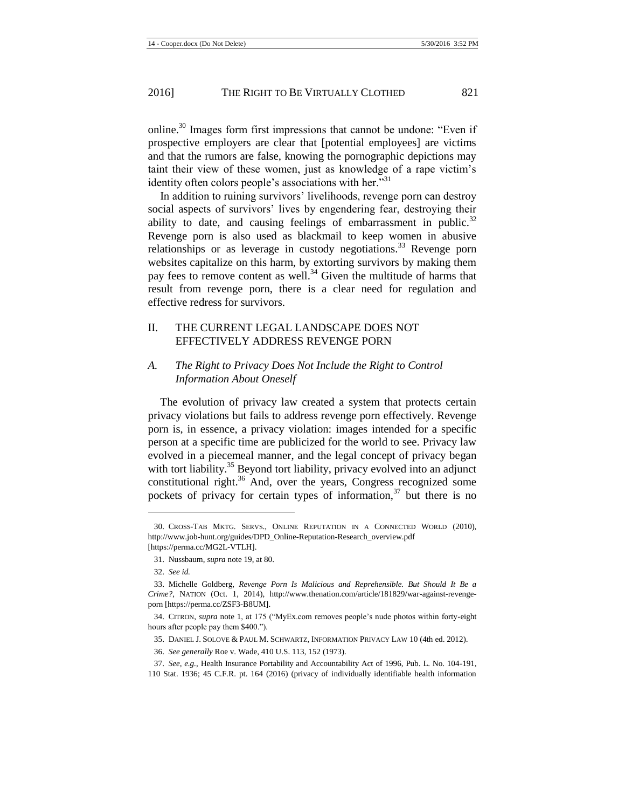online.<sup>30</sup> Images form first impressions that cannot be undone: "Even if prospective employers are clear that [potential employees] are victims and that the rumors are false, knowing the pornographic depictions may taint their view of these women, just as knowledge of a rape victim's identity often colors people's associations with her."<sup>31</sup>

<span id="page-5-1"></span>In addition to ruining survivors' livelihoods, revenge porn can destroy social aspects of survivors' lives by engendering fear, destroying their ability to date, and causing feelings of embarrassment in public.<sup>32</sup> Revenge porn is also used as blackmail to keep women in abusive relationships or as leverage in custody negotiations.<sup>33</sup> Revenge porn websites capitalize on this harm, by extorting survivors by making them pay fees to remove content as well.<sup>34</sup> Given the multitude of harms that result from revenge porn, there is a clear need for regulation and effective redress for survivors.

## II. THE CURRENT LEGAL LANDSCAPE DOES NOT EFFECTIVELY ADDRESS REVENGE PORN

## *A. The Right to Privacy Does Not Include the Right to Control Information About Oneself*

The evolution of privacy law created a system that protects certain privacy violations but fails to address revenge porn effectively. Revenge porn is, in essence, a privacy violation: images intended for a specific person at a specific time are publicized for the world to see. Privacy law evolved in a piecemeal manner, and the legal concept of privacy began with tort liability.<sup>35</sup> Beyond tort liability, privacy evolved into an adjunct constitutional right. $36$  And, over the years, Congress recognized some pockets of privacy for certain types of information, $37$  but there is no

<span id="page-5-0"></span><sup>30.</sup> CROSS-TAB MKTG. SERVS., ONLINE REPUTATION IN A CONNECTED WORLD (2010), http://www.job-hunt.org/guides/DPD\_Online-Reputation-Research\_overview.pdf [https://perma.cc/MG2L-VTLH].

<sup>31.</sup> Nussbaum, *supra* note [19,](#page-3-1) at 80.

<sup>32.</sup> *See id.*

<sup>33.</sup> Michelle Goldberg, *Revenge Porn Is Malicious and Reprehensible. But Should It Be a Crime?*, NATION (Oct. 1, 2014), http://www.thenation.com/article/181829/war-against-revengeporn [https://perma.cc/ZSF3-B8UM].

<sup>34.</sup> CITRON, *supra* note [1,](#page-1-0) at 175 ("MyEx.com removes people's nude photos within forty-eight hours after people pay them \$400.").

<sup>35.</sup> DANIEL J. SOLOVE & PAUL M. SCHWARTZ, INFORMATION PRIVACY LAW 10 (4th ed. 2012).

<sup>36.</sup> *See generally* Roe v. Wade, 410 U.S. 113, 152 (1973).

<sup>37.</sup> *See, e.g.*, Health Insurance Portability and Accountability Act of 1996, Pub. L. No. 104-191, 110 Stat. 1936; 45 C.F.R. pt. 164 (2016) (privacy of individually identifiable health information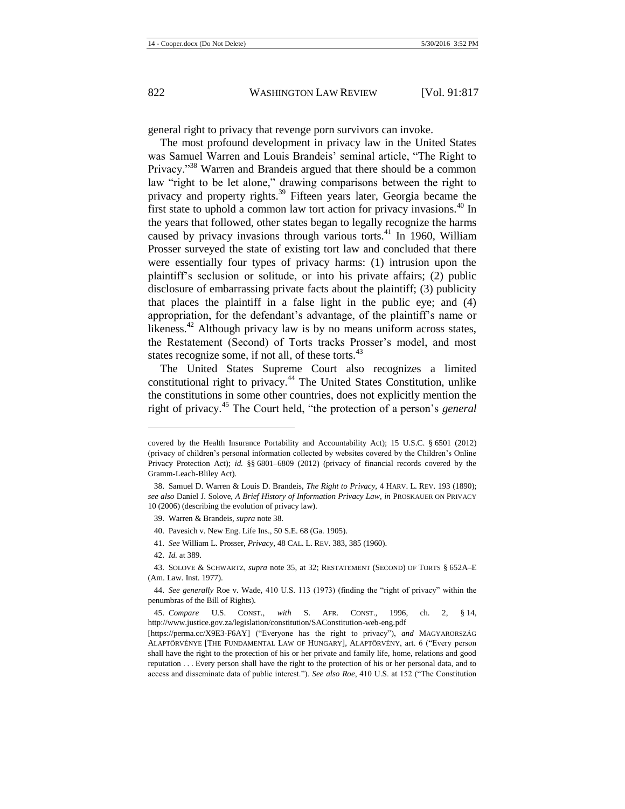general right to privacy that revenge porn survivors can invoke.

<span id="page-6-0"></span>The most profound development in privacy law in the United States was Samuel Warren and Louis Brandeis' seminal article, "The Right to Privacy."<sup>38</sup> Warren and Brandeis argued that there should be a common law "right to be let alone," drawing comparisons between the right to privacy and property rights.<sup>39</sup> Fifteen years later, Georgia became the first state to uphold a common law tort action for privacy invasions.<sup>40</sup> In the years that followed, other states began to legally recognize the harms caused by privacy invasions through various torts. $41$  In 1960, William Prosser surveyed the state of existing tort law and concluded that there were essentially four types of privacy harms: (1) intrusion upon the plaintiff's seclusion or solitude, or into his private affairs; (2) public disclosure of embarrassing private facts about the plaintiff; (3) publicity that places the plaintiff in a false light in the public eye; and (4) appropriation, for the defendant's advantage, of the plaintiff's name or likeness.<sup>42</sup> Although privacy law is by no means uniform across states, the Restatement (Second) of Torts tracks Prosser's model, and most states recognize some, if not all, of these torts. $43$ 

The United States Supreme Court also recognizes a limited constitutional right to privacy.<sup>44</sup> The United States Constitution, unlike the constitutions in some other countries, does not explicitly mention the right of privacy.<sup>45</sup> The Court held, "the protection of a person's *general*

- 40. Pavesich v. New Eng. Life Ins., 50 S.E. 68 (Ga. 1905).
- 41. *See* William L. Prosser, *Privacy*, 48 CAL. L. REV. 383, 385 (1960).
- 42. *Id.* at 389.

covered by the Health Insurance Portability and Accountability Act); 15 U.S.C. § 6501 (2012) (privacy of children's personal information collected by websites covered by the Children's Online Privacy Protection Act); *id.* §§ 6801–6809 (2012) (privacy of financial records covered by the Gramm-Leach-Bliley Act).

<sup>38.</sup> Samuel D. Warren & Louis D. Brandeis, *The Right to Privacy*, 4 HARV. L. REV. 193 (1890); *see also* Daniel J. Solove, *A Brief History of Information Privacy Law*, *in* PROSKAUER ON PRIVACY 10 (2006) (describing the evolution of privacy law).

<sup>39.</sup> Warren & Brandeis, *supra* not[e 38.](#page-6-0)

<sup>43.</sup> SOLOVE & SCHWARTZ, *supra* note [35,](#page-5-0) at 32; RESTATEMENT (SECOND) OF TORTS § 652A–E (Am. Law. Inst. 1977).

<sup>44.</sup> *See generally* Roe v. Wade, 410 U.S. 113 (1973) (finding the "right of privacy" within the penumbras of the Bill of Rights).

<sup>45.</sup> *Compare* U.S. CONST., *with* S. AFR. CONST., 1996, ch. 2, § 14, http://www.justice.gov.za/legislation/constitution/SAConstitution-web-eng.pdf

<sup>[</sup>https://perma.cc/X9E3-F6AY] ("Everyone has the right to privacy"), *and* MAGYARORSZÁG ALAPTÖRVÉNYE [THE FUNDAMENTAL LAW OF HUNGARY], ALAPTÖRVÉNY, art. 6 ("Every person shall have the right to the protection of his or her private and family life, home, relations and good reputation . . . Every person shall have the right to the protection of his or her personal data, and to access and disseminate data of public interest."). *See also Roe*, 410 U.S. at 152 ("The Constitution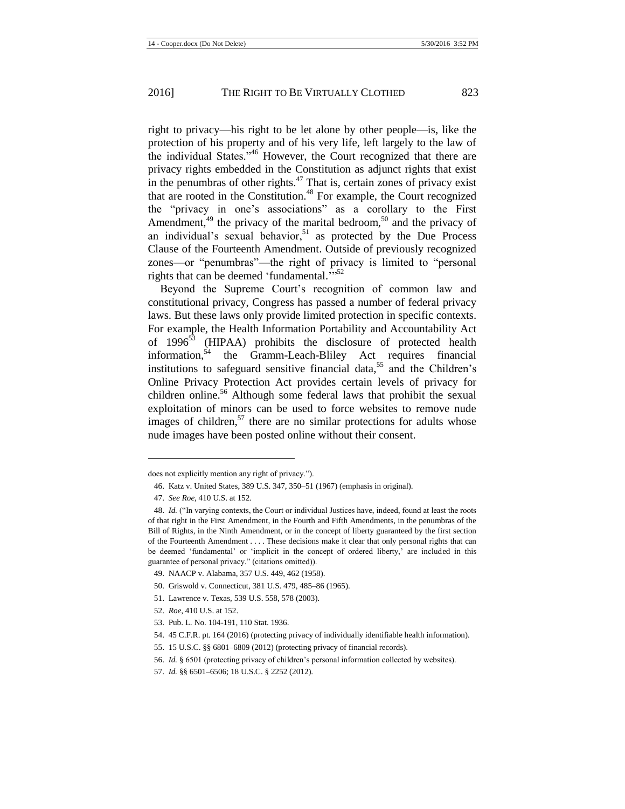right to privacy—his right to be let alone by other people—is, like the protection of his property and of his very life, left largely to the law of the individual States."<sup>46</sup> However, the Court recognized that there are privacy rights embedded in the Constitution as adjunct rights that exist in the penumbras of other rights. $47$  That is, certain zones of privacy exist that are rooted in the Constitution.<sup>48</sup> For example, the Court recognized the "privacy in one's associations" as a corollary to the First Amendment,<sup>49</sup> the privacy of the marital bedroom,<sup>50</sup> and the privacy of an individual's sexual behavior, $51$  as protected by the Due Process Clause of the Fourteenth Amendment. Outside of previously recognized zones—or "penumbras"—the right of privacy is limited to "personal rights that can be deemed 'fundamental."<sup>52</sup>

Beyond the Supreme Court's recognition of common law and constitutional privacy, Congress has passed a number of federal privacy laws. But these laws only provide limited protection in specific contexts. For example, the Health Information Portability and Accountability Act of 1996<sup>53</sup> (HIPAA) prohibits the disclosure of protected health information,<sup>54</sup> the Gramm-Leach-Bliley Act requires financial institutions to safeguard sensitive financial data,<sup>55</sup> and the Children's Online Privacy Protection Act provides certain levels of privacy for children online.<sup>56</sup> Although some federal laws that prohibit the sexual exploitation of minors can be used to force websites to remove nude images of children,<sup>57</sup> there are no similar protections for adults whose nude images have been posted online without their consent.

- 49. NAACP v. Alabama, 357 U.S. 449, 462 (1958).
- 50. Griswold v. Connecticut, 381 U.S. 479, 485–86 (1965).
- 51. Lawrence v. Texas, 539 U.S. 558, 578 (2003).
- 52. *Roe*, 410 U.S. at 152.
- 53. Pub. L. No. 104-191, 110 Stat. 1936.
- 54. 45 C.F.R. pt. 164 (2016) (protecting privacy of individually identifiable health information).
- 55. 15 U.S.C. §§ 6801–6809 (2012) (protecting privacy of financial records).
- 56. *Id.* § 6501 (protecting privacy of children's personal information collected by websites).
- 57. *Id.* §§ 6501–6506; 18 U.S.C. § 2252 (2012).

does not explicitly mention any right of privacy.").

<sup>46.</sup> Katz v. United States, 389 U.S. 347, 350–51 (1967) (emphasis in original).

<sup>47.</sup> *See Roe*, 410 U.S. at 152.

<sup>48.</sup> *Id.* ("In varying contexts, the Court or individual Justices have, indeed, found at least the roots of that right in the First Amendment, in the Fourth and Fifth Amendments, in the penumbras of the Bill of Rights, in the Ninth Amendment, or in the concept of liberty guaranteed by the first section of the Fourteenth Amendment . . . . These decisions make it clear that only personal rights that can be deemed 'fundamental' or 'implicit in the concept of ordered liberty,' are included in this guarantee of personal privacy." (citations omitted)).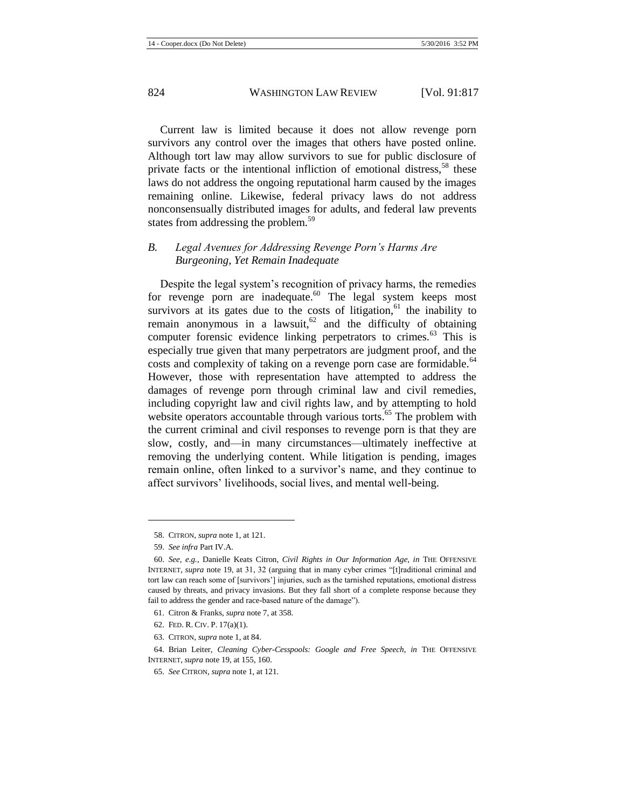Current law is limited because it does not allow revenge porn survivors any control over the images that others have posted online. Although tort law may allow survivors to sue for public disclosure of private facts or the intentional infliction of emotional distress,<sup>58</sup> these laws do not address the ongoing reputational harm caused by the images remaining online. Likewise, federal privacy laws do not address nonconsensually distributed images for adults, and federal law prevents states from addressing the problem.<sup>59</sup>

## *B. Legal Avenues for Addressing Revenge Porn's Harms Are Burgeoning, Yet Remain Inadequate*

<span id="page-8-0"></span>Despite the legal system's recognition of privacy harms, the remedies for revenge porn are inadequate.<sup>60</sup> The legal system keeps most survivors at its gates due to the costs of litigation, $61$  the inability to remain anonymous in a lawsuit, $62$  and the difficulty of obtaining computer forensic evidence linking perpetrators to crimes.<sup>63</sup> This is especially true given that many perpetrators are judgment proof, and the costs and complexity of taking on a revenge porn case are formidable.<sup>64</sup> However, those with representation have attempted to address the damages of revenge porn through criminal law and civil remedies, including copyright law and civil rights law, and by attempting to hold website operators accountable through various torts.<sup>65</sup> The problem with the current criminal and civil responses to revenge porn is that they are slow, costly, and—in many circumstances—ultimately ineffective at removing the underlying content. While litigation is pending, images remain online, often linked to a survivor's name, and they continue to affect survivors' livelihoods, social lives, and mental well-being.

- 62. FED. R. CIV. P. 17(a)(1).
- 63. CITRON, *supra* not[e 1,](#page-1-0) at 84.

<sup>58.</sup> CITRON, *supra* not[e 1,](#page-1-0) at 121.

<sup>59.</sup> *See infra* Part IV.A.

<sup>60.</sup> *See, e.g.*, Danielle Keats Citron, *Civil Rights in Our Information Age*, *in* THE OFFENSIVE INTERNET, *supra* note [19,](#page-3-1) at 31, 32 (arguing that in many cyber crimes "[t]raditional criminal and tort law can reach some of [survivors'] injuries, such as the tarnished reputations, emotional distress caused by threats, and privacy invasions. But they fall short of a complete response because they fail to address the gender and race-based nature of the damage").

<sup>61.</sup> Citron & Franks, *supra* not[e 7,](#page-2-0) at 358.

<sup>64.</sup> Brian Leiter, *Cleaning Cyber-Cesspools: Google and Free Speech*, *in* THE OFFENSIVE INTERNET, *supra* not[e 19,](#page-3-1) at 155, 160.

<sup>65.</sup> *See* CITRON, *supra* not[e 1,](#page-1-0) at 121.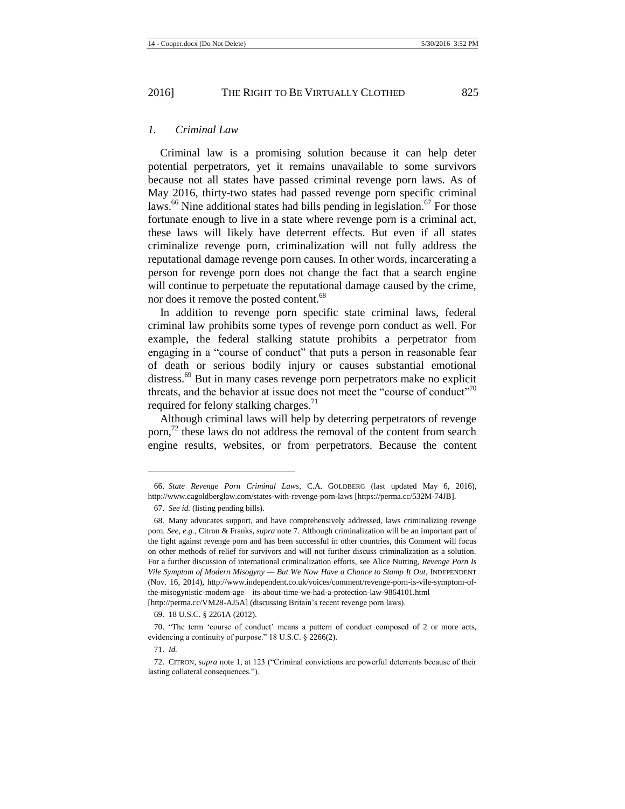#### *1. Criminal Law*

<span id="page-9-0"></span>Criminal law is a promising solution because it can help deter potential perpetrators, yet it remains unavailable to some survivors because not all states have passed criminal revenge porn laws. As of May 2016, thirty-two states had passed revenge porn specific criminal laws.<sup>66</sup> Nine additional states had bills pending in legislation.<sup>67</sup> For those fortunate enough to live in a state where revenge porn is a criminal act, these laws will likely have deterrent effects. But even if all states criminalize revenge porn, criminalization will not fully address the reputational damage revenge porn causes. In other words, incarcerating a person for revenge porn does not change the fact that a search engine will continue to perpetuate the reputational damage caused by the crime, nor does it remove the posted content.<sup>68</sup>

In addition to revenge porn specific state criminal laws, federal criminal law prohibits some types of revenge porn conduct as well. For example, the federal stalking statute prohibits a perpetrator from engaging in a "course of conduct" that puts a person in reasonable fear of death or serious bodily injury or causes substantial emotional distress.<sup>69</sup> But in many cases revenge porn perpetrators make no explicit threats, and the behavior at issue does not meet the "course of conduct"<sup>70</sup> required for felony stalking charges.<sup>71</sup>

Although criminal laws will help by deterring perpetrators of revenge porn, $^{72}$  these laws do not address the removal of the content from search engine results, websites, or from perpetrators. Because the content

<sup>66.</sup> *State Revenge Porn Criminal Laws*, C.A. GOLDBERG (last updated May 6, 2016), http://www.cagoldberglaw.com/states-with-revenge-porn-laws [https://perma.cc/532M-74JB].

<sup>67.</sup> *See id.* (listing pending bills).

<sup>68.</sup> Many advocates support, and have comprehensively addressed, laws criminalizing revenge porn. *See, e.g.*, Citron & Franks, *supra* note [7.](#page-2-0) Although criminalization will be an important part of the fight against revenge porn and has been successful in other countries, this Comment will focus on other methods of relief for survivors and will not further discuss criminalization as a solution. For a further discussion of international criminalization efforts*,* see Alice Nutting, *Revenge Porn Is Vile Symptom of Modern Misogyny — But We Now Have a Chance to Stamp It Out*, INDEPENDENT (Nov. 16, 2014), http://www.independent.co.uk/voices/comment/revenge-porn-is-vile-symptom-ofthe-misogynistic-modern-age—its-about-time-we-had-a-protection-law-9864101.html [http://perma.cc/VM28-AJ5A] (discussing Britain's recent revenge porn laws).

<sup>69.</sup> 18 U.S.C. § 2261A (2012).

<sup>70.</sup> "The term 'course of conduct' means a pattern of conduct composed of 2 or more acts, evidencing a continuity of purpose." 18 U.S.C. § 2266(2).

<sup>71.</sup> *Id.*

<sup>72.</sup> CITRON, *supra* not[e 1,](#page-1-0) at 123 ("Criminal convictions are powerful deterrents because of their lasting collateral consequences.").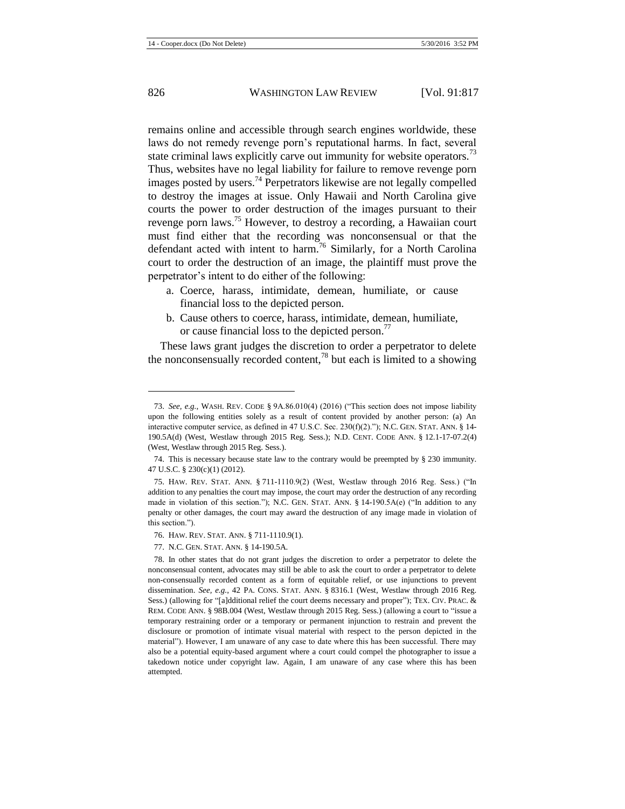remains online and accessible through search engines worldwide, these laws do not remedy revenge porn's reputational harms. In fact, several state criminal laws explicitly carve out immunity for website operators.<sup>73</sup> Thus, websites have no legal liability for failure to remove revenge porn images posted by users.<sup>74</sup> Perpetrators likewise are not legally compelled to destroy the images at issue. Only Hawaii and North Carolina give courts the power to order destruction of the images pursuant to their revenge porn laws.<sup>75</sup> However, to destroy a recording, a Hawaiian court must find either that the recording was nonconsensual or that the defendant acted with intent to harm.<sup>76</sup> Similarly, for a North Carolina court to order the destruction of an image, the plaintiff must prove the perpetrator's intent to do either of the following:

- a. Coerce, harass, intimidate, demean, humiliate, or cause financial loss to the depicted person.
- b. Cause others to coerce, harass, intimidate, demean, humiliate, or cause financial loss to the depicted person.<sup>77</sup>

These laws grant judges the discretion to order a perpetrator to delete the nonconsensually recorded content,<sup>78</sup> but each is limited to a showing

<sup>73.</sup> *See, e.g.*, WASH. REV. CODE § 9A.86.010(4) (2016) ("This section does not impose liability upon the following entities solely as a result of content provided by another person: (a) An interactive computer service, as defined in 47 U.S.C. Sec. 230(f)(2)."); N.C. GEN. STAT. ANN. § 14- 190.5A(d) (West, Westlaw through 2015 Reg. Sess.); N.D. CENT. CODE ANN. § 12.1-17-07.2(4) (West, Westlaw through 2015 Reg. Sess.).

<sup>74.</sup> This is necessary because state law to the contrary would be preempted by § 230 immunity. 47 U.S.C. § 230(c)(1) (2012).

<sup>75.</sup> HAW. REV. STAT. ANN. § 711-1110.9(2) (West, Westlaw through 2016 Reg. Sess.) ("In addition to any penalties the court may impose, the court may order the destruction of any recording made in violation of this section."); N.C. GEN. STAT. ANN. § 14-190.5A(e) ("In addition to any penalty or other damages, the court may award the destruction of any image made in violation of this section.").

<sup>76.</sup> HAW. REV. STAT. ANN. § 711-1110.9(1).

<sup>77.</sup> N.C. GEN. STAT. ANN. § 14-190.5A.

<sup>78.</sup> In other states that do not grant judges the discretion to order a perpetrator to delete the nonconsensual content, advocates may still be able to ask the court to order a perpetrator to delete non-consensually recorded content as a form of equitable relief, or use injunctions to prevent dissemination. *See, e.g.*, 42 PA. CONS. STAT. ANN. § 8316.1 (West, Westlaw through 2016 Reg. Sess.) (allowing for "[a]dditional relief the court deems necessary and proper"); TEX. CIV. PRAC. & REM. CODE ANN. § 98B.004 (West, Westlaw through 2015 Reg. Sess.) (allowing a court to "issue a temporary restraining order or a temporary or permanent injunction to restrain and prevent the disclosure or promotion of intimate visual material with respect to the person depicted in the material"). However, I am unaware of any case to date where this has been successful. There may also be a potential equity-based argument where a court could compel the photographer to issue a takedown notice under copyright law. Again, I am unaware of any case where this has been attempted.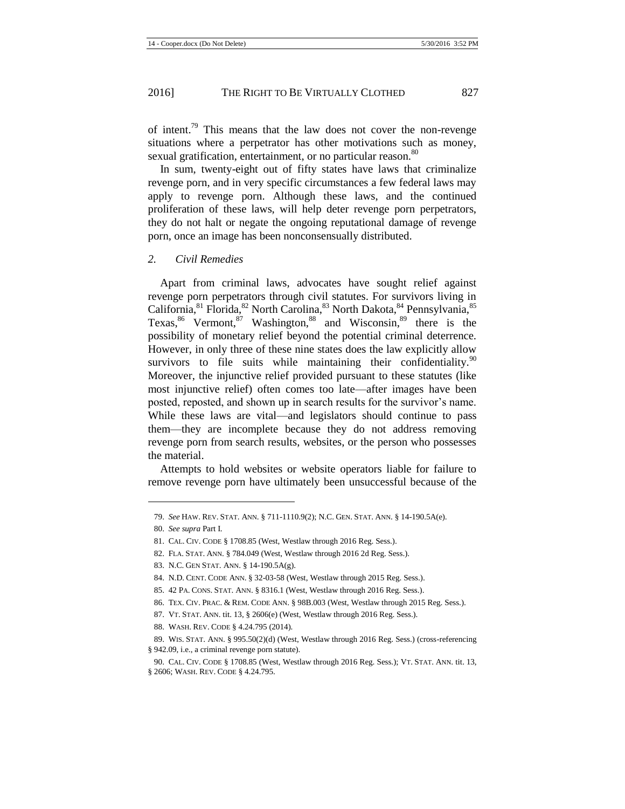of intent.<sup>79</sup> This means that the law does not cover the non-revenge situations where a perpetrator has other motivations such as money, sexual gratification, entertainment, or no particular reason.<sup>80</sup>

In sum, twenty-eight out of fifty states have laws that criminalize revenge porn, and in very specific circumstances a few federal laws may apply to revenge porn. Although these laws, and the continued proliferation of these laws, will help deter revenge porn perpetrators, they do not halt or negate the ongoing reputational damage of revenge porn, once an image has been nonconsensually distributed.

#### *2. Civil Remedies*

Apart from criminal laws, advocates have sought relief against revenge porn perpetrators through civil statutes. For survivors living in California, <sup>81</sup> Florida, <sup>82</sup> North Carolina, <sup>83</sup> North Dakota, <sup>84</sup> Pennsylvania, <sup>85</sup> Texas,  $86$  Vermont,  $87$  Washington,  $88$  and Wisconsin,  $89$  there is the possibility of monetary relief beyond the potential criminal deterrence. However, in only three of these nine states does the law explicitly allow survivors to file suits while maintaining their confidentiality.  $90$ Moreover, the injunctive relief provided pursuant to these statutes (like most injunctive relief) often comes too late—after images have been posted, reposted, and shown up in search results for the survivor's name. While these laws are vital—and legislators should continue to pass them—they are incomplete because they do not address removing revenge porn from search results, websites, or the person who possesses the material.

Attempts to hold websites or website operators liable for failure to remove revenge porn have ultimately been unsuccessful because of the

<sup>79.</sup> *See* HAW. REV. STAT. ANN. § 711-1110.9(2); N.C. GEN. STAT. ANN. § 14-190.5A(e).

<sup>80.</sup> *See supra* Part I.

<sup>81.</sup> CAL. CIV. CODE § 1708.85 (West, Westlaw through 2016 Reg. Sess.).

<sup>82.</sup> FLA. STAT. ANN. § 784.049 (West, Westlaw through 2016 2d Reg. Sess.).

<sup>83.</sup> N.C. GEN STAT. ANN. § 14-190.5A(g).

<sup>84.</sup> N.D. CENT. CODE ANN. § 32-03-58 (West, Westlaw through 2015 Reg. Sess.).

<sup>85.</sup> 42 PA. CONS. STAT. ANN. § 8316.1 (West, Westlaw through 2016 Reg. Sess.).

<sup>86.</sup> TEX. CIV. PRAC. & REM. CODE ANN. § 98B.003 (West, Westlaw through 2015 Reg. Sess.).

<sup>87.</sup> VT. STAT. ANN. tit. 13, § 2606(e) (West, Westlaw through 2016 Reg. Sess.).

<sup>88.</sup> WASH. REV. CODE § 4.24.795 (2014).

<sup>89.</sup> WIS. STAT. ANN. § 995.50(2)(d) (West, Westlaw through 2016 Reg. Sess.) (cross-referencing § 942.09, i.e., a criminal revenge porn statute).

<sup>90.</sup> CAL. CIV. CODE § 1708.85 (West, Westlaw through 2016 Reg. Sess.); VT. STAT. ANN. tit. 13, § 2606; WASH. REV. CODE § 4.24.795.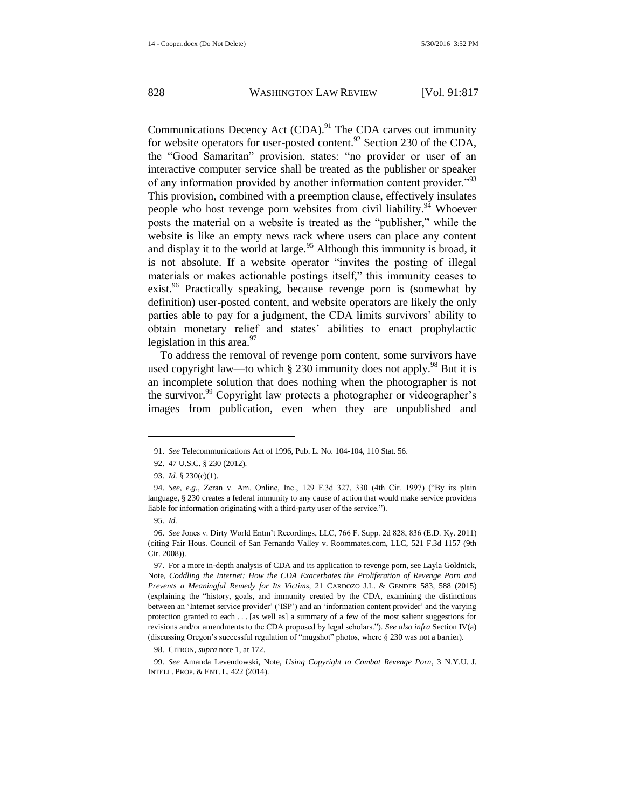Communications Decency Act  $(CDA)$ .<sup>91</sup> The CDA carves out immunity for website operators for user-posted content.<sup>92</sup> Section 230 of the CDA, the "Good Samaritan" provision, states: "no provider or user of an interactive computer service shall be treated as the publisher or speaker of any information provided by another information content provider.<sup>"93</sup> This provision, combined with a preemption clause, effectively insulates people who host revenge porn websites from civil liability.<sup>94</sup> Whoever posts the material on a website is treated as the "publisher," while the website is like an empty news rack where users can place any content and display it to the world at large.<sup>95</sup> Although this immunity is broad, it is not absolute. If a website operator "invites the posting of illegal materials or makes actionable postings itself," this immunity ceases to exist.<sup>96</sup> Practically speaking, because revenge porn is (somewhat by definition) user-posted content, and website operators are likely the only parties able to pay for a judgment, the CDA limits survivors' ability to obtain monetary relief and states' abilities to enact prophylactic legislation in this area. $97$ 

<span id="page-12-0"></span>To address the removal of revenge porn content, some survivors have used copyright law—to which § 230 immunity does not apply.<sup>98</sup> But it is an incomplete solution that does nothing when the photographer is not the survivor.<sup>99</sup> Copyright law protects a photographer or videographer's images from publication, even when they are unpublished and

<sup>91.</sup> *See* Telecommunications Act of 1996, Pub. L. No. 104-104, 110 Stat. 56.

<sup>92.</sup> 47 U.S.C. § 230 (2012).

<sup>93.</sup> *Id.* § 230(c)(1).

<sup>94.</sup> *See, e.g.*, Zeran v. Am. Online, Inc., 129 F.3d 327, 330 (4th Cir. 1997) ("By its plain language, § 230 creates a federal immunity to any cause of action that would make service providers liable for information originating with a third-party user of the service.").

<sup>95.</sup> *Id.*

<sup>96.</sup> *See* Jones v. Dirty World Entm't Recordings, LLC, 766 F. Supp. 2d 828, 836 (E.D. Ky. 2011) (citing Fair Hous. Council of San Fernando Valley v. Roommates.com, LLC, 521 F.3d 1157 (9th Cir. 2008)).

<sup>97.</sup> For a more in-depth analysis of CDA and its application to revenge porn, see Layla Goldnick, Note, *Coddling the Internet: How the CDA Exacerbates the Proliferation of Revenge Porn and Prevents a Meaningful Remedy for Its Victims*, 21 CARDOZO J.L. & GENDER 583, 588 (2015) (explaining the "history, goals, and immunity created by the CDA, examining the distinctions between an 'Internet service provider' ('ISP') and an 'information content provider' and the varying protection granted to each . . . [as well as] a summary of a few of the most salient suggestions for revisions and/or amendments to the CDA proposed by legal scholars."). *See also infra* Section IV(a) (discussing Oregon's successful regulation of "mugshot" photos, where § 230 was not a barrier).

<sup>98.</sup> CITRON, *supra* not[e 1,](#page-1-0) at 172.

<sup>99.</sup> *See* Amanda Levendowski, Note, *Using Copyright to Combat Revenge Porn*, 3 N.Y.U. J. INTELL. PROP. & ENT. L. 422 (2014).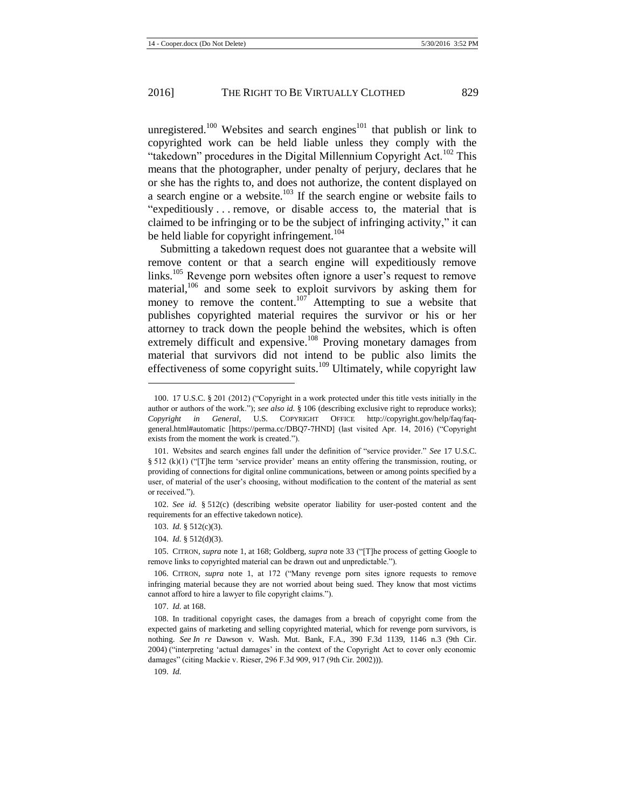unregistered.<sup>100</sup> Websites and search engines<sup>101</sup> that publish or link to copyrighted work can be held liable unless they comply with the "takedown" procedures in the Digital Millennium Copyright Act.<sup>102</sup> This means that the photographer, under penalty of perjury, declares that he or she has the rights to, and does not authorize, the content displayed on a search engine or a website.<sup>103</sup> If the search engine or website fails to "expeditiously . . . remove, or disable access to, the material that is claimed to be infringing or to be the subject of infringing activity," it can be held liable for copyright infringement.<sup>104</sup>

Submitting a takedown request does not guarantee that a website will remove content or that a search engine will expeditiously remove links.<sup>105</sup> Revenge porn websites often ignore a user's request to remove material,<sup>106</sup> and some seek to exploit survivors by asking them for money to remove the content.<sup>107</sup> Attempting to sue a website that publishes copyrighted material requires the survivor or his or her attorney to track down the people behind the websites, which is often extremely difficult and expensive.<sup>108</sup> Proving monetary damages from material that survivors did not intend to be public also limits the effectiveness of some copyright suits.<sup>109</sup> Ultimately, while copyright law

103. *Id.* § 512(c)(3).

l

104. *Id.* § 512(d)(3).

107. *Id.* at 168.

<sup>100.</sup> 17 U.S.C. § 201 (2012) ("Copyright in a work protected under this title vests initially in the author or authors of the work."); *see also id.* § 106 (describing exclusive right to reproduce works); *Copyright in General*, U.S. COPYRIGHT OFFICE http://copyright.gov/help/faq/faqgeneral.html#automatic [https://perma.cc/DBQ7-7HND] (last visited Apr. 14, 2016) ("Copyright exists from the moment the work is created.").

<sup>101.</sup> Websites and search engines fall under the definition of "service provider." *See* 17 U.S.C. § 512 (k)(1) ("[T]he term 'service provider' means an entity offering the transmission, routing, or providing of connections for digital online communications, between or among points specified by a user, of material of the user's choosing, without modification to the content of the material as sent or received.").

<sup>102.</sup> *See id.* § 512(c) (describing website operator liability for user-posted content and the requirements for an effective takedown notice).

<sup>105.</sup> CITRON, *supra* not[e 1,](#page-1-0) at 168; Goldberg, *supra* note [33](#page-5-1) ("[T]he process of getting Google to remove links to copyrighted material can be drawn out and unpredictable.").

<sup>106.</sup> CITRON, *supra* note [1,](#page-1-0) at 172 ("Many revenge porn sites ignore requests to remove infringing material because they are not worried about being sued. They know that most victims cannot afford to hire a lawyer to file copyright claims.").

<sup>108.</sup> In traditional copyright cases, the damages from a breach of copyright come from the expected gains of marketing and selling copyrighted material, which for revenge porn survivors, is nothing. *See In re* Dawson v. Wash. Mut. Bank, F.A., 390 F.3d 1139, 1146 n.3 (9th Cir. 2004) ("interpreting 'actual damages' in the context of the Copyright Act to cover only economic damages" (citing Mackie v. Rieser, 296 F.3d 909, 917 (9th Cir. 2002))).

<sup>109.</sup> *Id.*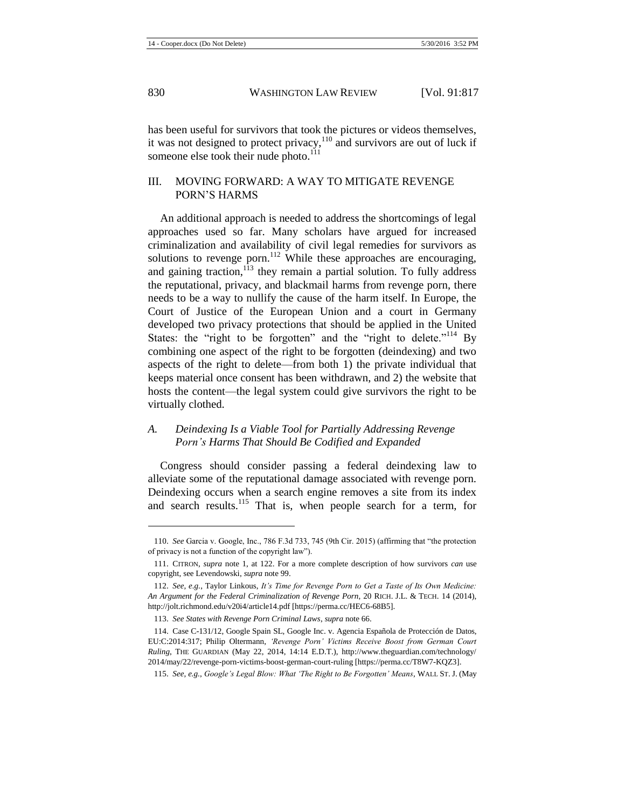has been useful for survivors that took the pictures or videos themselves, it was not designed to protect privacy, $110$  and survivors are out of luck if someone else took their nude photo. $^{111}$ 

## III. MOVING FORWARD: A WAY TO MITIGATE REVENGE PORN'S HARMS

An additional approach is needed to address the shortcomings of legal approaches used so far. Many scholars have argued for increased criminalization and availability of civil legal remedies for survivors as solutions to revenge porn.<sup>112</sup> While these approaches are encouraging, and gaining traction,  $113$  they remain a partial solution. To fully address the reputational, privacy, and blackmail harms from revenge porn, there needs to be a way to nullify the cause of the harm itself. In Europe, the Court of Justice of the European Union and a court in Germany developed two privacy protections that should be applied in the United States: the "right to be forgotten" and the "right to delete."<sup>114</sup> By combining one aspect of the right to be forgotten (deindexing) and two aspects of the right to delete—from both 1) the private individual that keeps material once consent has been withdrawn, and 2) the website that hosts the content—the legal system could give survivors the right to be virtually clothed.

## <span id="page-14-1"></span>*A. Deindexing Is a Viable Tool for Partially Addressing Revenge Porn's Harms That Should Be Codified and Expanded*

Congress should consider passing a federal deindexing law to alleviate some of the reputational damage associated with revenge porn. Deindexing occurs when a search engine removes a site from its index and search results.<sup>115</sup> That is, when people search for a term, for

<span id="page-14-0"></span><sup>110.</sup> *See* Garcia v. Google, Inc., 786 F.3d 733, 745 (9th Cir. 2015) (affirming that "the protection of privacy is not a function of the copyright law").

<sup>111.</sup> CITRON, *supra* note [1,](#page-1-0) at 122. For a more complete description of how survivors *can* use copyright, see Levendowski, *supra* not[e 99.](#page-12-0)

<sup>112.</sup> *See, e.g.*, Taylor Linkous, *It's Time for Revenge Porn to Get a Taste of Its Own Medicine: An Argument for the Federal Criminalization of Revenge Porn*, 20 RICH. J.L. & TECH. 14 (2014), http://jolt.richmond.edu/v20i4/article14.pdf [https://perma.cc/HEC6-68B5].

<sup>113.</sup> *See States with Revenge Porn Criminal Laws*, *supra* not[e 66.](#page-9-0)

<sup>114.</sup> Case C-131/12, Google Spain SL, Google Inc. v. Agencia Española de Protección de Datos, EU:C:2014:317; Philip Oltermann, *'Revenge Porn' Victims Receive Boost from German Court Ruling*, THE GUARDIAN (May 22, 2014, 14:14 E.D.T.), http://www.theguardian.com/technology/ 2014/may/22/revenge-porn-victims-boost-german-court-ruling [https://perma.cc/T8W7-KQZ3].

<sup>115.</sup> *See, e.g.*, *Google's Legal Blow: What 'The Right to Be Forgotten' Means*, WALL ST. J. (May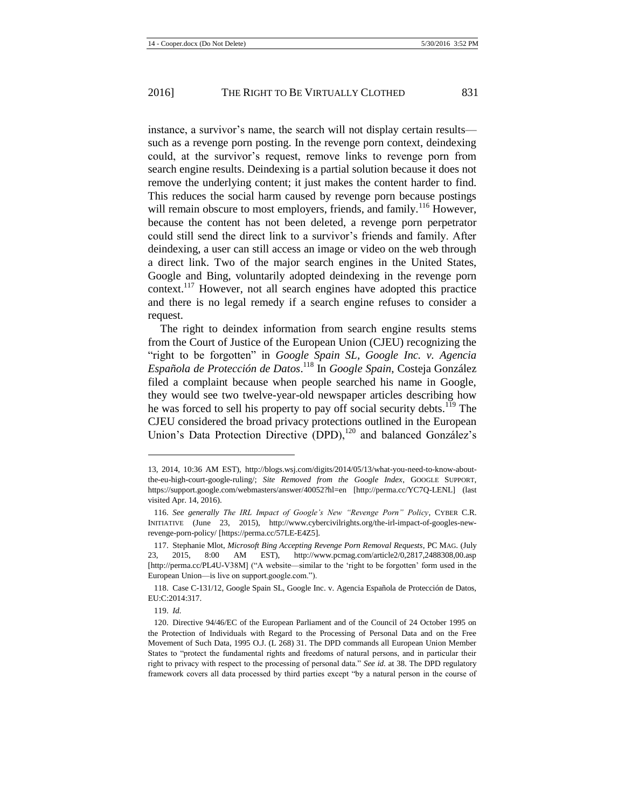instance, a survivor's name, the search will not display certain results such as a revenge porn posting. In the revenge porn context, deindexing could, at the survivor's request, remove links to revenge porn from search engine results. Deindexing is a partial solution because it does not remove the underlying content; it just makes the content harder to find. This reduces the social harm caused by revenge porn because postings will remain obscure to most employers, friends, and family.<sup>116</sup> However, because the content has not been deleted, a revenge porn perpetrator could still send the direct link to a survivor's friends and family. After deindexing, a user can still access an image or video on the web through a direct link. Two of the major search engines in the United States, Google and Bing, voluntarily adopted deindexing in the revenge porn context.<sup>117</sup> However, not all search engines have adopted this practice and there is no legal remedy if a search engine refuses to consider a request.

<span id="page-15-0"></span>The right to deindex information from search engine results stems from the Court of Justice of the European Union (CJEU) recognizing the "right to be forgotten" in *Google Spain SL, Google Inc. v. Agencia Española de Protección de Datos*. <sup>118</sup> In *Google Spain*, Costeja González filed a complaint because when people searched his name in Google, they would see two twelve-year-old newspaper articles describing how he was forced to sell his property to pay off social security debts.<sup>119</sup> The CJEU considered the broad privacy protections outlined in the European Union's Data Protection Directive (DPD),<sup>120</sup> and balanced González's

<sup>13,</sup> 2014, 10:36 AM EST), http://blogs.wsj.com/digits/2014/05/13/what-you-need-to-know-aboutthe-eu-high-court-google-ruling/; *Site Removed from the Google Index*, GOOGLE SUPPORT, https://support.google.com/webmasters/answer/40052?hl=en [http://perma.cc/YC7Q-LENL] (last visited Apr. 14, 2016).

<sup>116.</sup> *See generally The IRL Impact of Google's New "Revenge Porn" Policy*, CYBER C.R. INITIATIVE (June 23, 2015), http://www.cybercivilrights.org/the-irl-impact-of-googles-newrevenge-porn-policy/ [https://perma.cc/57LE-E4Z5].

<sup>117.</sup> Stephanie Mlot, *Microsoft Bing Accepting Revenge Porn Removal Requests*, PC MAG. (July 23, 2015, 8:00 AM EST), http://www.pcmag.com/article2/0,2817,2488308,00.asp [http://perma.cc/PL4U-V38M] ("A website—similar to the 'right to be forgotten' form used in the European Union—is live on support.google.com.").

<sup>118.</sup> Case C-131/12, Google Spain SL, Google Inc. v. Agencia Española de Protección de Datos, EU:C:2014:317.

<sup>119.</sup> *Id.*

<sup>120.</sup> Directive 94/46/EC of the European Parliament and of the Council of 24 October 1995 on the Protection of Individuals with Regard to the Processing of Personal Data and on the Free Movement of Such Data, 1995 O.J. (L 268) 31. The DPD commands all European Union Member States to "protect the fundamental rights and freedoms of natural persons, and in particular their right to privacy with respect to the processing of personal data." *See id.* at 38. The DPD regulatory framework covers all data processed by third parties except "by a natural person in the course of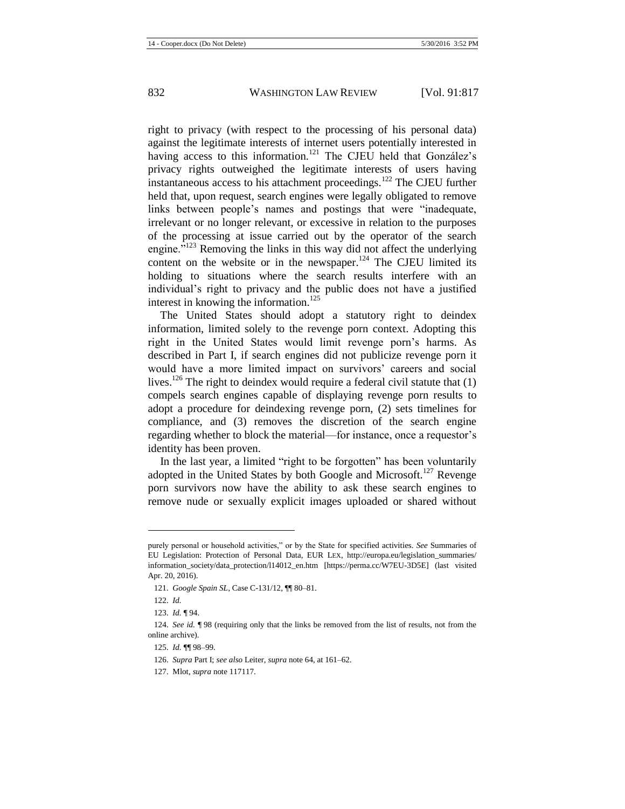right to privacy (with respect to the processing of his personal data) against the legitimate interests of internet users potentially interested in having access to this information.<sup>121</sup> The CJEU held that González's privacy rights outweighed the legitimate interests of users having instantaneous access to his attachment proceedings.<sup>122</sup> The CJEU further held that, upon request, search engines were legally obligated to remove links between people's names and postings that were "inadequate, irrelevant or no longer relevant, or excessive in relation to the purposes of the processing at issue carried out by the operator of the search engine."<sup>123</sup> Removing the links in this way did not affect the underlying content on the website or in the newspaper.<sup>124</sup> The CJEU limited its holding to situations where the search results interfere with an individual's right to privacy and the public does not have a justified interest in knowing the information.<sup>125</sup>

The United States should adopt a statutory right to deindex information, limited solely to the revenge porn context. Adopting this right in the United States would limit revenge porn's harms. As described in Part I, if search engines did not publicize revenge porn it would have a more limited impact on survivors' careers and social lives.<sup>126</sup> The right to deindex would require a federal civil statute that  $(1)$ compels search engines capable of displaying revenge porn results to adopt a procedure for deindexing revenge porn, (2) sets timelines for compliance, and (3) removes the discretion of the search engine regarding whether to block the material—for instance, once a requestor's identity has been proven.

In the last year, a limited "right to be forgotten" has been voluntarily adopted in the United States by both Google and Microsoft.<sup>127</sup> Revenge porn survivors now have the ability to ask these search engines to remove nude or sexually explicit images uploaded or shared without

purely personal or household activities," or by the State for specified activities. *See* Summaries of EU Legislation: Protection of Personal Data, EUR LEX, http://europa.eu/legislation\_summaries/ information\_society/data\_protection/l14012\_en.htm [https://perma.cc/W7EU-3D5E] (last visited Apr. 20, 2016).

<sup>121.</sup> *Google Spain SL*, Case C-131/12, ¶¶ 80–81.

<sup>122.</sup> *Id.*

<sup>123.</sup> *Id.* ¶ 94.

<sup>124.</sup> *See id.* ¶ 98 (requiring only that the links be removed from the list of results, not from the online archive).

<sup>125.</sup> *Id.* ¶¶ 98–99.

<sup>126.</sup> *Supra* Part I; *see also* Leiter, *supra* not[e 64,](#page-8-0) at 161–62.

<sup>127.</sup> Mlot, *supra* not[e 117117.](#page-15-0)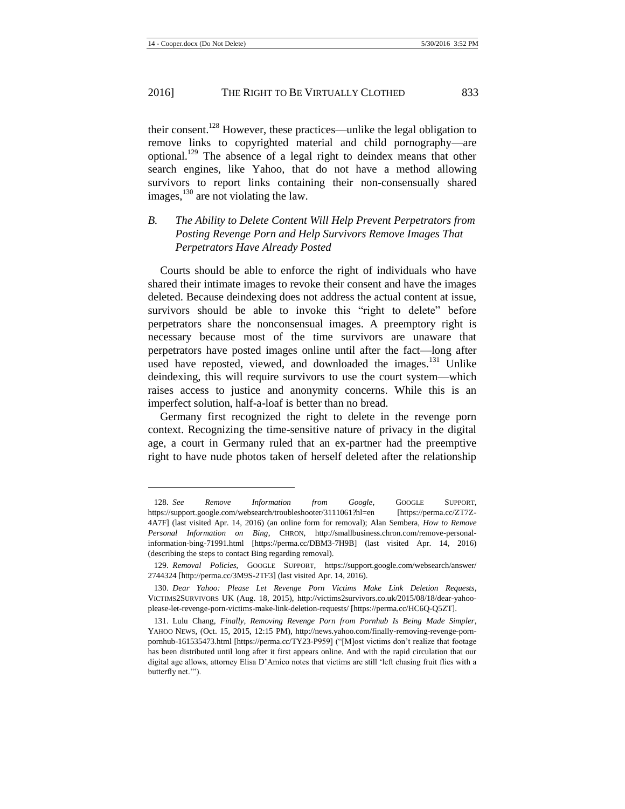l

their consent.<sup>128</sup> However, these practices—unlike the legal obligation to remove links to copyrighted material and child pornography—are optional.<sup>129</sup> The absence of a legal right to deindex means that other search engines, like Yahoo, that do not have a method allowing survivors to report links containing their non-consensually shared images, $130$  are not violating the law.

## *B. The Ability to Delete Content Will Help Prevent Perpetrators from Posting Revenge Porn and Help Survivors Remove Images That Perpetrators Have Already Posted*

Courts should be able to enforce the right of individuals who have shared their intimate images to revoke their consent and have the images deleted. Because deindexing does not address the actual content at issue, survivors should be able to invoke this "right to delete" before perpetrators share the nonconsensual images. A preemptory right is necessary because most of the time survivors are unaware that perpetrators have posted images online until after the fact—long after used have reposted, viewed, and downloaded the images.<sup>131</sup> Unlike deindexing, this will require survivors to use the court system—which raises access to justice and anonymity concerns. While this is an imperfect solution, half-a-loaf is better than no bread.

<span id="page-17-0"></span>Germany first recognized the right to delete in the revenge porn context. Recognizing the time-sensitive nature of privacy in the digital age, a court in Germany ruled that an ex-partner had the preemptive right to have nude photos taken of herself deleted after the relationship

<sup>128.</sup> *See Remove Information from Google*, GOOGLE SUPPORT, https://support.google.com/websearch/troubleshooter/3111061?hl=en [https://perma.cc/ZT7Z-4A7F] (last visited Apr. 14, 2016) (an online form for removal); Alan Sembera, *How to Remove Personal Information on Bing*, CHRON, http://smallbusiness.chron.com/remove-personalinformation-bing-71991.html [https://perma.cc/DBM3-7H9B] (last visited Apr. 14, 2016) (describing the steps to contact Bing regarding removal).

<sup>129.</sup> *Removal Policies*, GOOGLE SUPPORT, https://support.google.com/websearch/answer/ 2744324 [http://perma.cc/3M9S-2TF3] (last visited Apr. 14, 2016).

<sup>130.</sup> *Dear Yahoo: Please Let Revenge Porn Victims Make Link Deletion Requests*, VICTIMS2SURVIVORS UK (Aug. 18, 2015), http://victims2survivors.co.uk/2015/08/18/dear-yahooplease-let-revenge-porn-victims-make-link-deletion-requests/ [https://perma.cc/HC6Q-Q5ZT].

<sup>131.</sup> Lulu Chang, *Finally, Removing Revenge Porn from Pornhub Is Being Made Simpler*, YAHOO NEWS, (Oct. 15, 2015, 12:15 PM), http://news.yahoo.com/finally-removing-revenge-pornpornhub-161535473.html [https://perma.cc/TY23-P959] ("[M]ost victims don't realize that footage has been distributed until long after it first appears online. And with the rapid circulation that our digital age allows, attorney Elisa D'Amico notes that victims are still 'left chasing fruit flies with a butterfly net.'").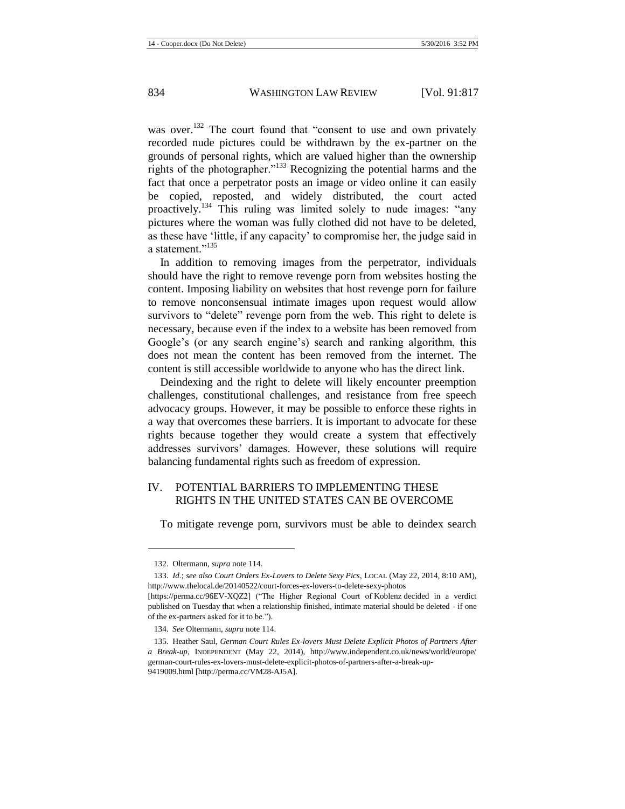was over.<sup>132</sup> The court found that "consent to use and own privately recorded nude pictures could be withdrawn by the ex-partner on the grounds of personal rights, which are valued higher than the ownership rights of the photographer."<sup>133</sup> Recognizing the potential harms and the fact that once a perpetrator posts an image or video online it can easily be copied, reposted, and widely distributed, the court acted proactively.<sup>134</sup> This ruling was limited solely to nude images: "any pictures where the woman was fully clothed did not have to be deleted, as these have 'little, if any capacity' to compromise her, the judge said in a statement<sup>"135</sup>

In addition to removing images from the perpetrator, individuals should have the right to remove revenge porn from websites hosting the content. Imposing liability on websites that host revenge porn for failure to remove nonconsensual intimate images upon request would allow survivors to "delete" revenge porn from the web. This right to delete is necessary, because even if the index to a website has been removed from Google's (or any search engine's) search and ranking algorithm, this does not mean the content has been removed from the internet. The content is still accessible worldwide to anyone who has the direct link.

Deindexing and the right to delete will likely encounter preemption challenges, constitutional challenges, and resistance from free speech advocacy groups. However, it may be possible to enforce these rights in a way that overcomes these barriers. It is important to advocate for these rights because together they would create a system that effectively addresses survivors' damages. However, these solutions will require balancing fundamental rights such as freedom of expression.

## IV. POTENTIAL BARRIERS TO IMPLEMENTING THESE RIGHTS IN THE UNITED STATES CAN BE OVERCOME

To mitigate revenge porn, survivors must be able to deindex search

<sup>132.</sup> Oltermann, *supra* not[e 114.](#page-14-1)

<sup>133.</sup> *Id.*; *see also Court Orders Ex-Lovers to Delete Sexy Pics*, LOCAL (May 22, 2014, 8:10 AM), http://www.thelocal.de/20140522/court-forces-ex-lovers-to-delete-sexy-photos

<sup>[</sup>https://perma.cc/96EV-XQZ2] ("The Higher Regional Court of Koblenz decided in a verdict published on Tuesday that when a relationship finished, intimate material should be deleted - if one of the ex-partners asked for it to be.").

<sup>134.</sup> *See* Oltermann, *supra* not[e 114.](#page-14-1)

<sup>135.</sup> Heather Saul, *German Court Rules Ex-lovers Must Delete Explicit Photos of Partners After a Break-up*, INDEPENDENT (May 22, 2014), http://www.independent.co.uk/news/world/europe/ german-court-rules-ex-lovers-must-delete-explicit-photos-of-partners-after-a-break-up-9419009.html [http://perma.cc/VM28-AJ5A].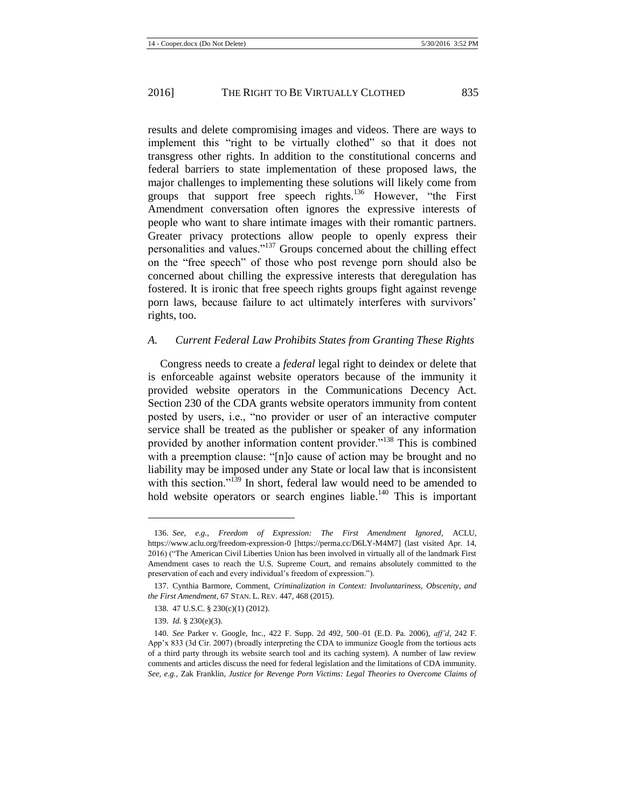results and delete compromising images and videos. There are ways to implement this "right to be virtually clothed" so that it does not transgress other rights. In addition to the constitutional concerns and federal barriers to state implementation of these proposed laws, the major challenges to implementing these solutions will likely come from groups that support free speech rights.<sup>136</sup> However, "the First Amendment conversation often ignores the expressive interests of people who want to share intimate images with their romantic partners. Greater privacy protections allow people to openly express their personalities and values."<sup>137</sup> Groups concerned about the chilling effect on the "free speech" of those who post revenge porn should also be concerned about chilling the expressive interests that deregulation has fostered. It is ironic that free speech rights groups fight against revenge porn laws, because failure to act ultimately interferes with survivors' rights, too.

#### *A. Current Federal Law Prohibits States from Granting These Rights*

Congress needs to create a *federal* legal right to deindex or delete that is enforceable against website operators because of the immunity it provided website operators in the Communications Decency Act. Section 230 of the CDA grants website operators immunity from content posted by users, i.e., "no provider or user of an interactive computer service shall be treated as the publisher or speaker of any information provided by another information content provider."<sup>138</sup> This is combined with a preemption clause: "[n]o cause of action may be brought and no liability may be imposed under any State or local law that is inconsistent with this section."<sup>139</sup> In short, federal law would need to be amended to hold website operators or search engines liable.<sup>140</sup> This is important

<span id="page-19-0"></span><sup>136.</sup> *See, e.g.*, *Freedom of Expression: The First Amendment Ignored*, ACLU, https://www.aclu.org/freedom-expression-0 [https://perma.cc/D6LY-M4M7] (last visited Apr. 14, 2016) ("The American Civil Liberties Union has been involved in virtually all of the landmark First Amendment cases to reach the U.S. Supreme Court, and remains absolutely committed to the preservation of each and every individual's freedom of expression.").

<sup>137.</sup> Cynthia Barmore, Comment, *Criminalization in Context: Involuntariness, Obscenity, and the First Amendment*, 67 STAN. L. REV. 447, 468 (2015).

<sup>138.</sup> 47 U.S.C. § 230(c)(1) (2012).

<sup>139.</sup> *Id.* § 230(e)(3).

<sup>140.</sup> *See* Parker v. Google, Inc., 422 F. Supp. 2d 492, 500–01 (E.D. Pa. 2006), *aff'd*, 242 F. App'x 833 (3d Cir. 2007) (broadly interpreting the CDA to immunize Google from the tortious acts of a third party through its website search tool and its caching system). A number of law review comments and articles discuss the need for federal legislation and the limitations of CDA immunity. *See, e.g.*, Zak Franklin, *Justice for Revenge Porn Victims: Legal Theories to Overcome Claims of*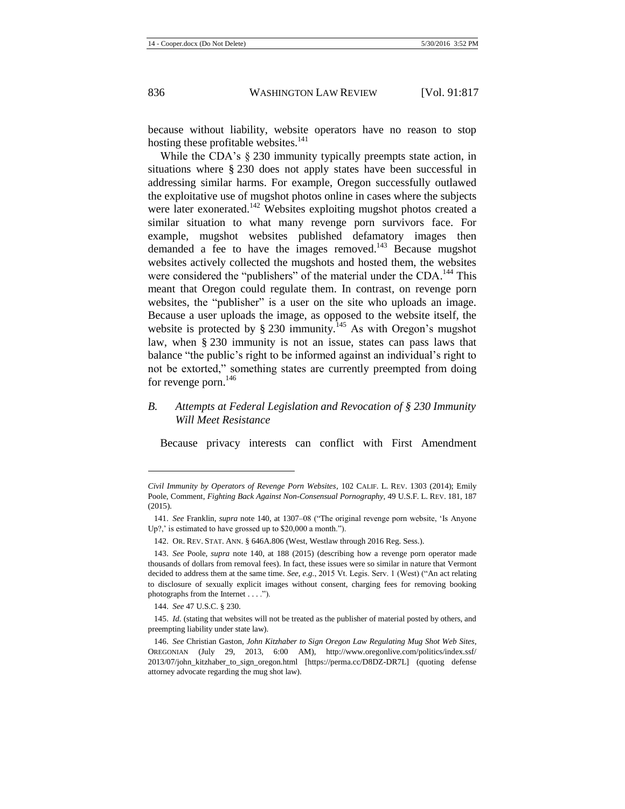because without liability, website operators have no reason to stop hosting these profitable websites. $141$ 

While the CDA's § 230 immunity typically preempts state action, in situations where § 230 does not apply states have been successful in addressing similar harms. For example, Oregon successfully outlawed the exploitative use of mugshot photos online in cases where the subjects were later exonerated.<sup>142</sup> Websites exploiting mugshot photos created a similar situation to what many revenge porn survivors face. For example, mugshot websites published defamatory images then demanded a fee to have the images removed.<sup>143</sup> Because mugshot websites actively collected the mugshots and hosted them, the websites were considered the "publishers" of the material under the CDA.<sup>144</sup> This meant that Oregon could regulate them. In contrast, on revenge porn websites, the "publisher" is a user on the site who uploads an image. Because a user uploads the image, as opposed to the website itself, the website is protected by  $\S 230$  immunity.<sup>145</sup> As with Oregon's mugshot law, when § 230 immunity is not an issue, states can pass laws that balance "the public's right to be informed against an individual's right to not be extorted," something states are currently preempted from doing for revenge porn. $146$ 

*B. Attempts at Federal Legislation and Revocation of § 230 Immunity Will Meet Resistance*

Because privacy interests can conflict with First Amendment

*Civil Immunity by Operators of Revenge Porn Websites*, 102 CALIF. L. REV. 1303 (2014); Emily Poole, Comment, *Fighting Back Against Non-Consensual Pornography*, 49 U.S.F. L. REV. 181, 187 (2015).

<sup>141.</sup> *See* Franklin, *supra* note 140, at 1307–08 ("The original revenge porn website, 'Is Anyone Up?,' is estimated to have grossed up to \$20,000 a month.").

<sup>142.</sup> OR. REV. STAT. ANN. § 646A.806 (West, Westlaw through 2016 Reg. Sess.).

<sup>143.</sup> *See* Poole, *supra* note [140,](#page-19-0) at 188 (2015) (describing how a revenge porn operator made thousands of dollars from removal fees). In fact, these issues were so similar in nature that Vermont decided to address them at the same time. *See, e.g.*, 2015 Vt. Legis. Serv. 1 (West) ("An act relating to disclosure of sexually explicit images without consent, charging fees for removing booking photographs from the Internet . . . .").

<sup>144.</sup> *See* 47 U.S.C. § 230.

<sup>145.</sup> *Id.* (stating that websites will not be treated as the publisher of material posted by others, and preempting liability under state law).

<sup>146.</sup> *See* Christian Gaston, *John Kitzhaber to Sign Oregon Law Regulating Mug Shot Web Sites*, OREGONIAN (July 29, 2013, 6:00 AM), http://www.oregonlive.com/politics/index.ssf/ 2013/07/john\_kitzhaber\_to\_sign\_oregon.html [https://perma.cc/D8DZ-DR7L] (quoting defense attorney advocate regarding the mug shot law).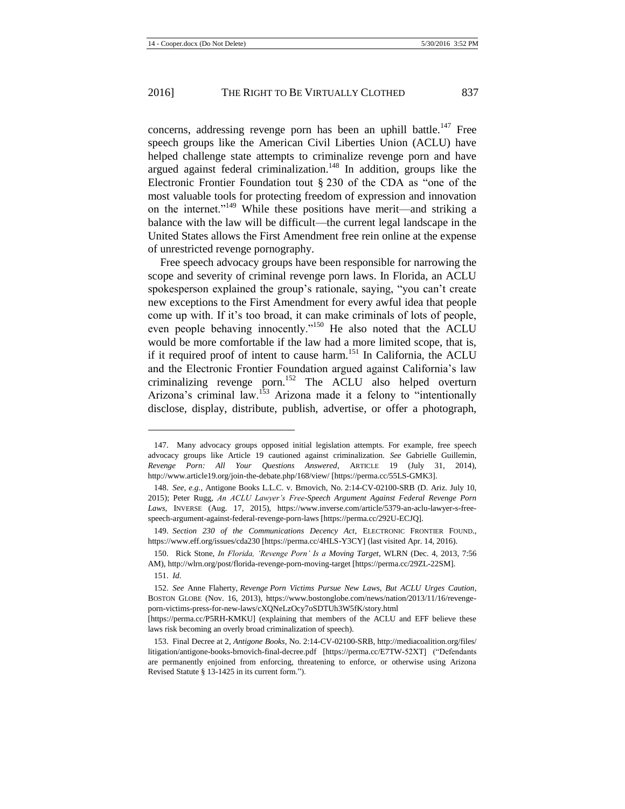concerns, addressing revenge porn has been an uphill battle.<sup>147</sup> Free speech groups like the American Civil Liberties Union (ACLU) have helped challenge state attempts to criminalize revenge porn and have argued against federal criminalization.<sup>148</sup> In addition, groups like the Electronic Frontier Foundation tout § 230 of the CDA as "one of the most valuable tools for protecting freedom of expression and innovation on the internet."<sup>149</sup> While these positions have merit—and striking a balance with the law will be difficult—the current legal landscape in the United States allows the First Amendment free rein online at the expense of unrestricted revenge pornography.

<span id="page-21-1"></span>Free speech advocacy groups have been responsible for narrowing the scope and severity of criminal revenge porn laws. In Florida, an ACLU spokesperson explained the group's rationale, saying, "you can't create new exceptions to the First Amendment for every awful idea that people come up with. If it's too broad, it can make criminals of lots of people, even people behaving innocently."<sup>150</sup> He also noted that the ACLU would be more comfortable if the law had a more limited scope, that is, if it required proof of intent to cause harm.<sup>151</sup> In California, the ACLU and the Electronic Frontier Foundation argued against California's law criminalizing revenge porn.<sup>152</sup> The ACLU also helped overturn Arizona's criminal law.<sup>153</sup> Arizona made it a felony to "intentionally disclose, display, distribute, publish, advertise, or offer a photograph,

<span id="page-21-0"></span><sup>147.</sup> Many advocacy groups opposed initial legislation attempts. For example, free speech advocacy groups like Article 19 cautioned against criminalization. *See* Gabrielle Guillemin, *Revenge Porn: All Your Questions Answered*, ARTICLE 19 (July 31, 2014), http://www.article19.org/join-the-debate.php/168/view/ [https://perma.cc/55LS-GMK3].

<sup>148.</sup> *See, e.g.*, Antigone Books L.L.C. v. Brnovich, No. 2:14-CV-02100-SRB (D. Ariz. July 10, 2015); Peter Rugg, *An ACLU Lawyer's Free-Speech Argument Against Federal Revenge Porn Laws*, INVERSE (Aug. 17, 2015), https://www.inverse.com/article/5379-an-aclu-lawyer-s-freespeech-argument-against-federal-revenge-porn-laws [https://perma.cc/292U-ECJQ].

<sup>149.</sup> *Section 230 of the Communications Decency Act*, ELECTRONIC FRONTIER FOUND., https://www.eff.org/issues/cda230 [https://perma.cc/4HLS-Y3CY] (last visited Apr. 14, 2016).

<sup>150.</sup> Rick Stone, *In Florida, 'Revenge Porn' Is a Moving Target*, WLRN (Dec. 4, 2013, 7:56 AM), http://wlrn.org/post/florida-revenge-porn-moving-target [https://perma.cc/29ZL-22SM].

<sup>151.</sup> *Id.*

<sup>152.</sup> *See* Anne Flaherty, *Revenge Porn Victims Pursue New Laws, But ACLU Urges Caution*, BOSTON GLOBE (Nov. 16, 2013), https://www.bostonglobe.com/news/nation/2013/11/16/revengeporn-victims-press-for-new-laws/cXQNeLzOcy7oSDTUh3W5fK/story.html

<sup>[</sup>https://perma.cc/P5RH-KMKU] (explaining that members of the ACLU and EFF believe these laws risk becoming an overly broad criminalization of speech).

<sup>153.</sup> Final Decree at 2, *Antigone Books*, No. 2:14-CV-02100-SRB, http://mediacoalition.org/files/ litigation/antigone-books-brnovich-final-decree.pdf [https://perma.cc/E7TW-52XT] ("Defendants are permanently enjoined from enforcing, threatening to enforce, or otherwise using Arizona Revised Statute § 13-1425 in its current form.").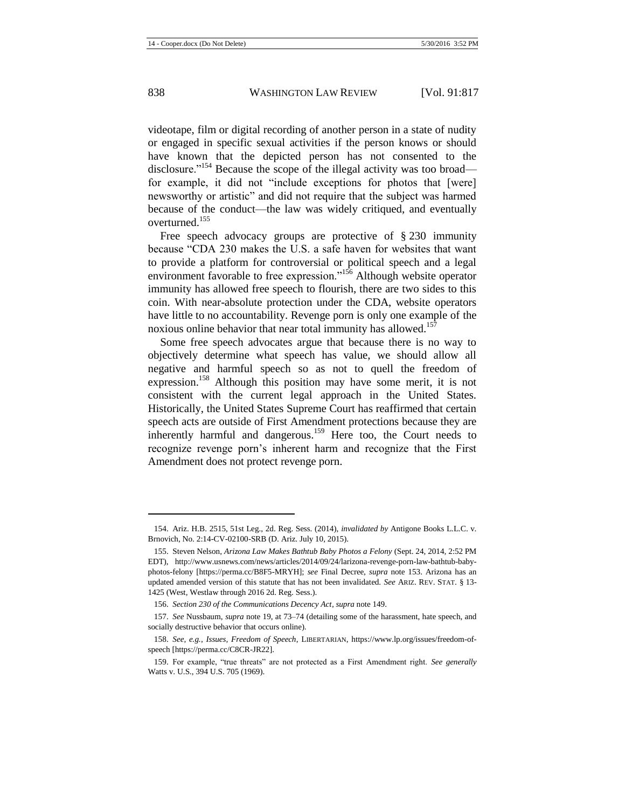videotape, film or digital recording of another person in a state of nudity or engaged in specific sexual activities if the person knows or should have known that the depicted person has not consented to the disclosure."<sup>154</sup> Because the scope of the illegal activity was too broad for example, it did not "include exceptions for photos that [were] newsworthy or artistic" and did not require that the subject was harmed because of the conduct—the law was widely critiqued, and eventually overturned<sup>155</sup>

Free speech advocacy groups are protective of § 230 immunity because "CDA 230 makes the U.S. a safe haven for websites that want to provide a platform for controversial or political speech and a legal environment favorable to free expression."<sup>156</sup> Although website operator immunity has allowed free speech to flourish, there are two sides to this coin. With near-absolute protection under the CDA, website operators have little to no accountability. Revenge porn is only one example of the noxious online behavior that near total immunity has allowed.<sup>157</sup>

Some free speech advocates argue that because there is no way to objectively determine what speech has value, we should allow all negative and harmful speech so as not to quell the freedom of expression.<sup>158</sup> Although this position may have some merit, it is not consistent with the current legal approach in the United States. Historically, the United States Supreme Court has reaffirmed that certain speech acts are outside of First Amendment protections because they are inherently harmful and dangerous.<sup>159</sup> Here too, the Court needs to recognize revenge porn's inherent harm and recognize that the First Amendment does not protect revenge porn.

<sup>154.</sup> Ariz. H.B. 2515, 51st Leg., 2d. Reg. Sess. (2014), *invalidated by* Antigone Books L.L.C. v. Brnovich, No. 2:14-CV-02100-SRB (D. Ariz. July 10, 2015).

<sup>155.</sup> Steven Nelson, *Arizona Law Makes Bathtub Baby Photos a Felony* (Sept. 24, 2014, 2:52 PM EDT), http://www.usnews.com/news/articles/2014/09/24/larizona-revenge-porn-law-bathtub-babyphotos-felony [https://perma.cc/B8F5-MRYH]; *see* Final Decree, *supra* note [153.](#page-21-0) Arizona has an updated amended version of this statute that has not been invalidated. *See* ARIZ. REV. STAT. § 13- 1425 (West, Westlaw through 2016 2d. Reg. Sess.).

<sup>156.</sup> *Section 230 of the Communications Decency Act*, *supra* not[e 149.](#page-21-1)

<sup>157.</sup> *See* Nussbaum, *supra* not[e 19,](#page-3-1) at 73–74 (detailing some of the harassment, hate speech, and socially destructive behavior that occurs online).

<sup>158.</sup> *See, e.g.*, *Issues, Freedom of Speech*, LIBERTARIAN, https://www.lp.org/issues/freedom-ofspeech [https://perma.cc/C8CR-JR22].

<sup>159.</sup> For example, "true threats" are not protected as a First Amendment right. *See generally* Watts v. U.S., 394 U.S. 705 (1969).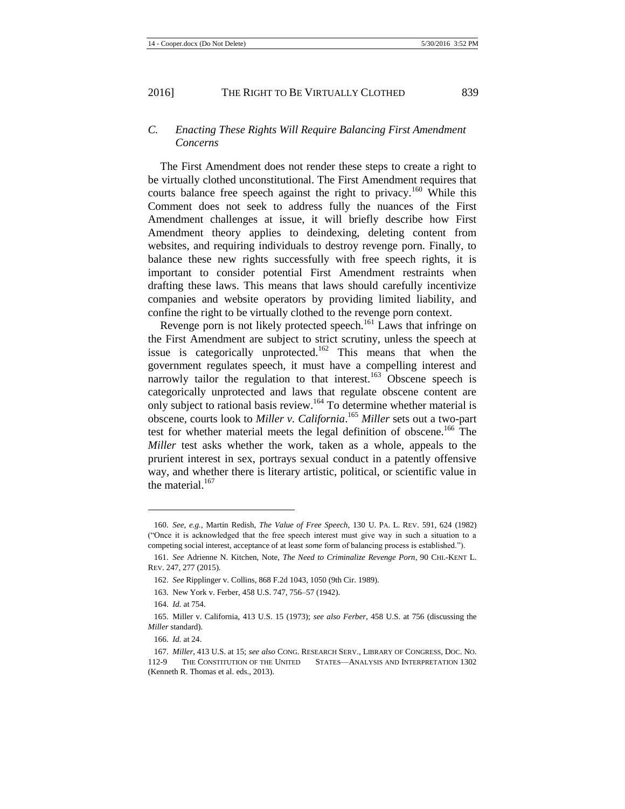## *C. Enacting These Rights Will Require Balancing First Amendment Concerns*

The First Amendment does not render these steps to create a right to be virtually clothed unconstitutional. The First Amendment requires that courts balance free speech against the right to privacy.<sup>160</sup> While this Comment does not seek to address fully the nuances of the First Amendment challenges at issue, it will briefly describe how First Amendment theory applies to deindexing, deleting content from websites, and requiring individuals to destroy revenge porn. Finally, to balance these new rights successfully with free speech rights, it is important to consider potential First Amendment restraints when drafting these laws. This means that laws should carefully incentivize companies and website operators by providing limited liability, and confine the right to be virtually clothed to the revenge porn context.

Revenge porn is not likely protected speech.<sup>161</sup> Laws that infringe on the First Amendment are subject to strict scrutiny, unless the speech at issue is categorically unprotected.<sup>162</sup> This means that when the government regulates speech, it must have a compelling interest and narrowly tailor the regulation to that interest.<sup>163</sup> Obscene speech is categorically unprotected and laws that regulate obscene content are only subject to rational basis review.<sup>164</sup> To determine whether material is obscene, courts look to *Miller v. California*. <sup>165</sup> *Miller* sets out a two-part test for whether material meets the legal definition of obscene.<sup>166</sup> The *Miller* test asks whether the work, taken as a whole, appeals to the prurient interest in sex, portrays sexual conduct in a patently offensive way, and whether there is literary artistic, political, or scientific value in the material. $167$ 

<span id="page-23-0"></span><sup>160.</sup> *See, e.g.*, Martin Redish, *The Value of Free Speech*, 130 U. PA. L. REV. 591, 624 (1982) ("Once it is acknowledged that the free speech interest must give way in such a situation to a competing social interest, acceptance of at least *some* form of balancing process is established.").

<sup>161.</sup> *See* Adrienne N. Kitchen, Note, *The Need to Criminalize Revenge Porn*, 90 CHI.-KENT L. REV. 247, 277 (2015).

<sup>162.</sup> *See* Ripplinger v. Collins, 868 F.2d 1043, 1050 (9th Cir. 1989).

<sup>163.</sup> New York v. Ferber, 458 U.S. 747, 756–57 (1942).

<sup>164.</sup> *Id.* at 754.

<sup>165.</sup> Miller v. California, 413 U.S. 15 (1973); *see also Ferber*, 458 U.S. at 756 (discussing the *Miller* standard).

<sup>166.</sup> *Id.* at 24.

<sup>167.</sup> *Miller*, 413 U.S. at 15; *see also* CONG. RESEARCH SERV., LIBRARY OF CONGRESS, DOC. NO. 112-9 THE CONSTITUTION OF THE UNITED STATES—ANALYSIS AND INTERPRETATION 1302 (Kenneth R. Thomas et al. eds., 2013).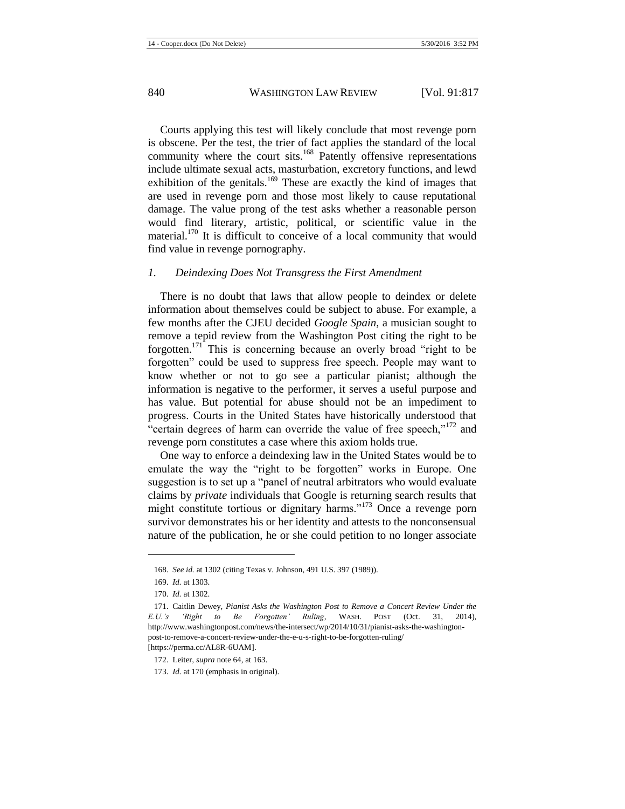Courts applying this test will likely conclude that most revenge porn is obscene. Per the test, the trier of fact applies the standard of the local community where the court sits.<sup>168</sup> Patently offensive representations include ultimate sexual acts, masturbation, excretory functions, and lewd exhibition of the genitals.<sup>169</sup> These are exactly the kind of images that are used in revenge porn and those most likely to cause reputational damage. The value prong of the test asks whether a reasonable person would find literary, artistic, political, or scientific value in the material.<sup>170</sup> It is difficult to conceive of a local community that would find value in revenge pornography.

#### *1. Deindexing Does Not Transgress the First Amendment*

There is no doubt that laws that allow people to deindex or delete information about themselves could be subject to abuse. For example, a few months after the CJEU decided *Google Spain*, a musician sought to remove a tepid review from the Washington Post citing the right to be forgotten.<sup>171</sup> This is concerning because an overly broad "right to be forgotten" could be used to suppress free speech. People may want to know whether or not to go see a particular pianist; although the information is negative to the performer, it serves a useful purpose and has value. But potential for abuse should not be an impediment to progress. Courts in the United States have historically understood that "certain degrees of harm can override the value of free speech,"<sup>172</sup> and revenge porn constitutes a case where this axiom holds true.

One way to enforce a deindexing law in the United States would be to emulate the way the "right to be forgotten" works in Europe. One suggestion is to set up a "panel of neutral arbitrators who would evaluate claims by *private* individuals that Google is returning search results that might constitute tortious or dignitary harms."<sup>173</sup> Once a revenge porn survivor demonstrates his or her identity and attests to the nonconsensual nature of the publication, he or she could petition to no longer associate

<sup>168.</sup> *See id.* at 1302 (citing Texas v. Johnson, 491 U.S. 397 (1989)).

<sup>169.</sup> *Id.* at 1303.

<sup>170.</sup> *Id.* at 1302.

<sup>171.</sup> Caitlin Dewey, *Pianist Asks the Washington Post to Remove a Concert Review Under the E.U.'s 'Right to Be Forgotten' Ruling*, WASH. POST (Oct. 31, 2014), http://www.washingtonpost.com/news/the-intersect/wp/2014/10/31/pianist-asks-the-washingtonpost-to-remove-a-concert-review-under-the-e-u-s-right-to-be-forgotten-ruling/ [https://perma.cc/AL8R-6UAM].

<sup>172.</sup> Leiter, *supra* not[e 64,](#page-8-0) at 163.

<sup>173.</sup> *Id.* at 170 (emphasis in original).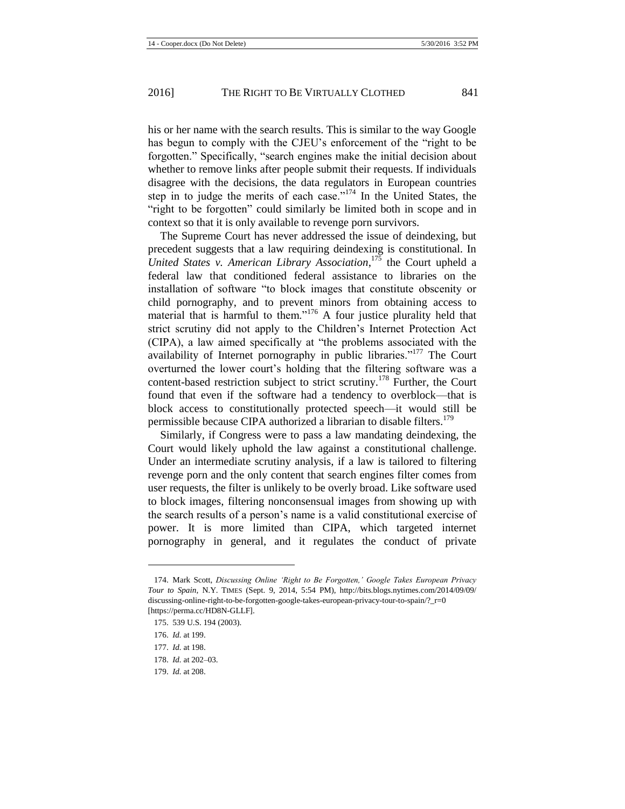his or her name with the search results. This is similar to the way Google has begun to comply with the CJEU's enforcement of the "right to be forgotten." Specifically, "search engines make the initial decision about whether to remove links after people submit their requests. If individuals disagree with the decisions, the data regulators in European countries step in to judge the merits of each case."<sup>174</sup> In the United States, the "right to be forgotten" could similarly be limited both in scope and in context so that it is only available to revenge porn survivors.

The Supreme Court has never addressed the issue of deindexing, but precedent suggests that a law requiring deindexing is constitutional. In *United States v. American Library Association*, <sup>175</sup> the Court upheld a federal law that conditioned federal assistance to libraries on the installation of software "to block images that constitute obscenity or child pornography, and to prevent minors from obtaining access to material that is harmful to them."<sup>176</sup> A four justice plurality held that strict scrutiny did not apply to the Children's Internet Protection Act (CIPA), a law aimed specifically at "the problems associated with the availability of Internet pornography in public libraries."<sup>177</sup> The Court overturned the lower court's holding that the filtering software was a content-based restriction subject to strict scrutiny.<sup>178</sup> Further, the Court found that even if the software had a tendency to overblock—that is block access to constitutionally protected speech—it would still be permissible because CIPA authorized a librarian to disable filters.<sup>179</sup>

Similarly, if Congress were to pass a law mandating deindexing, the Court would likely uphold the law against a constitutional challenge. Under an intermediate scrutiny analysis, if a law is tailored to filtering revenge porn and the only content that search engines filter comes from user requests, the filter is unlikely to be overly broad. Like software used to block images, filtering nonconsensual images from showing up with the search results of a person's name is a valid constitutional exercise of power. It is more limited than CIPA, which targeted internet pornography in general, and it regulates the conduct of private

<sup>174.</sup> Mark Scott, *Discussing Online 'Right to Be Forgotten,' Google Takes European Privacy Tour to Spain*, N.Y. TIMES (Sept. 9, 2014, 5:54 PM), http://bits.blogs.nytimes.com/2014/09/09/ discussing-online-right-to-be-forgotten-google-takes-european-privacy-tour-to-spain/? r=0 [https://perma.cc/HD8N-GLLF].

<sup>175.</sup> 539 U.S. 194 (2003).

<sup>176.</sup> *Id.* at 199.

<sup>177.</sup> *Id.* at 198.

<sup>178.</sup> *Id.* at 202–03.

<sup>179.</sup> *Id.* at 208.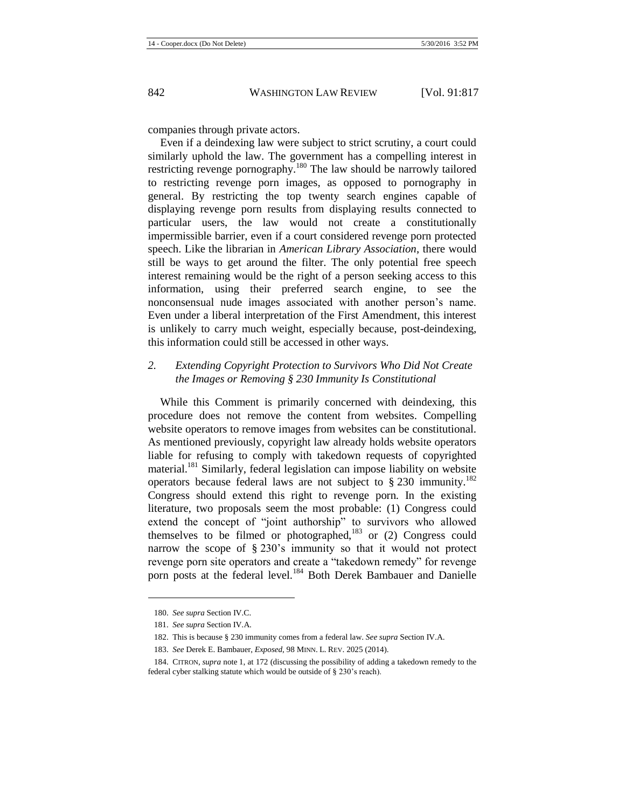companies through private actors.

Even if a deindexing law were subject to strict scrutiny, a court could similarly uphold the law. The government has a compelling interest in restricting revenge pornography.<sup>180</sup> The law should be narrowly tailored to restricting revenge porn images, as opposed to pornography in general. By restricting the top twenty search engines capable of displaying revenge porn results from displaying results connected to particular users, the law would not create a constitutionally impermissible barrier, even if a court considered revenge porn protected speech. Like the librarian in *American Library Association*, there would still be ways to get around the filter. The only potential free speech interest remaining would be the right of a person seeking access to this information, using their preferred search engine, to see the nonconsensual nude images associated with another person's name. Even under a liberal interpretation of the First Amendment, this interest is unlikely to carry much weight, especially because, post-deindexing, this information could still be accessed in other ways.

## *2. Extending Copyright Protection to Survivors Who Did Not Create the Images or Removing § 230 Immunity Is Constitutional*

While this Comment is primarily concerned with deindexing, this procedure does not remove the content from websites. Compelling website operators to remove images from websites can be constitutional. As mentioned previously, copyright law already holds website operators liable for refusing to comply with takedown requests of copyrighted material.<sup>181</sup> Similarly, federal legislation can impose liability on website operators because federal laws are not subject to  $\S 230$  immunity.<sup>182</sup> Congress should extend this right to revenge porn. In the existing literature, two proposals seem the most probable: (1) Congress could extend the concept of "joint authorship" to survivors who allowed themselves to be filmed or photographed,<sup>183</sup> or (2) Congress could narrow the scope of § 230's immunity so that it would not protect revenge porn site operators and create a "takedown remedy" for revenge porn posts at the federal level.<sup>184</sup> Both Derek Bambauer and Danielle

<span id="page-26-0"></span> $\overline{a}$ 

<sup>180.</sup> *See supra* Section IV.C.

<sup>181.</sup> *See supra* Section IV.A.

<sup>182.</sup> This is because § 230 immunity comes from a federal law. *See supra* Section IV.A.

<sup>183.</sup> *See* Derek E. Bambauer, *Exposed*, 98 MINN. L. REV. 2025 (2014).

<sup>184.</sup> CITRON, *supra* note [1,](#page-1-0) at 172 (discussing the possibility of adding a takedown remedy to the federal cyber stalking statute which would be outside of § 230's reach).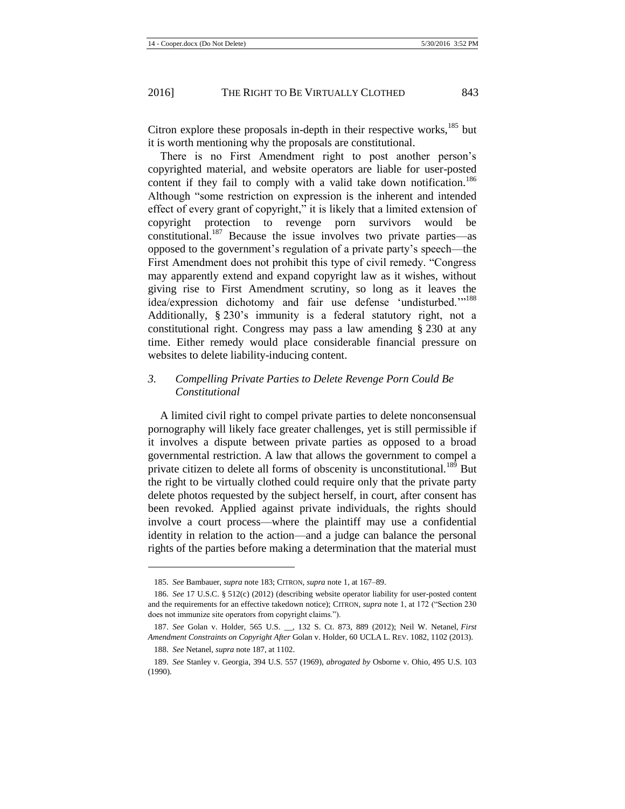l

Citron explore these proposals in-depth in their respective works, $185$  but it is worth mentioning why the proposals are constitutional.

<span id="page-27-0"></span>There is no First Amendment right to post another person's copyrighted material, and website operators are liable for user-posted content if they fail to comply with a valid take down notification.<sup>186</sup> Although "some restriction on expression is the inherent and intended effect of every grant of copyright," it is likely that a limited extension of copyright protection to revenge porn survivors would be constitutional.<sup>187</sup> Because the issue involves two private parties—as opposed to the government's regulation of a private party's speech—the First Amendment does not prohibit this type of civil remedy. "Congress may apparently extend and expand copyright law as it wishes, without giving rise to First Amendment scrutiny, so long as it leaves the idea/expression dichotomy and fair use defense 'undisturbed."<sup>188</sup> Additionally, § 230's immunity is a federal statutory right, not a constitutional right. Congress may pass a law amending § 230 at any time. Either remedy would place considerable financial pressure on websites to delete liability-inducing content.

## *3. Compelling Private Parties to Delete Revenge Porn Could Be Constitutional*

A limited civil right to compel private parties to delete nonconsensual pornography will likely face greater challenges, yet is still permissible if it involves a dispute between private parties as opposed to a broad governmental restriction. A law that allows the government to compel a private citizen to delete all forms of obscenity is unconstitutional.<sup>189</sup> But the right to be virtually clothed could require only that the private party delete photos requested by the subject herself, in court, after consent has been revoked. Applied against private individuals, the rights should involve a court process—where the plaintiff may use a confidential identity in relation to the action—and a judge can balance the personal rights of the parties before making a determination that the material must

<sup>185.</sup> *See* Bambauer, *supra* not[e 183;](#page-26-0) CITRON, *supra* not[e 1,](#page-1-0) at 167–89.

<sup>186.</sup> *See* 17 U.S.C. § 512(c) (2012) (describing website operator liability for user-posted content and the requirements for an effective takedown notice); CITRON, *supra* not[e 1,](#page-1-0) at 172 ("Section 230 does not immunize site operators from copyright claims.").

<sup>187.</sup> *See* Golan v. Holder, 565 U.S. \_\_, 132 S. Ct. 873, 889 (2012); Neil W. Netanel, *First Amendment Constraints on Copyright After* Golan v. Holder, 60 UCLA L. REV. 1082, 1102 (2013). 188. *See* Netanel, *supra* not[e 187,](#page-27-0) at 1102.

<sup>189.</sup> *See* Stanley v. Georgia, 394 U.S. 557 (1969), *abrogated by* Osborne v. Ohio, 495 U.S. 103 (1990).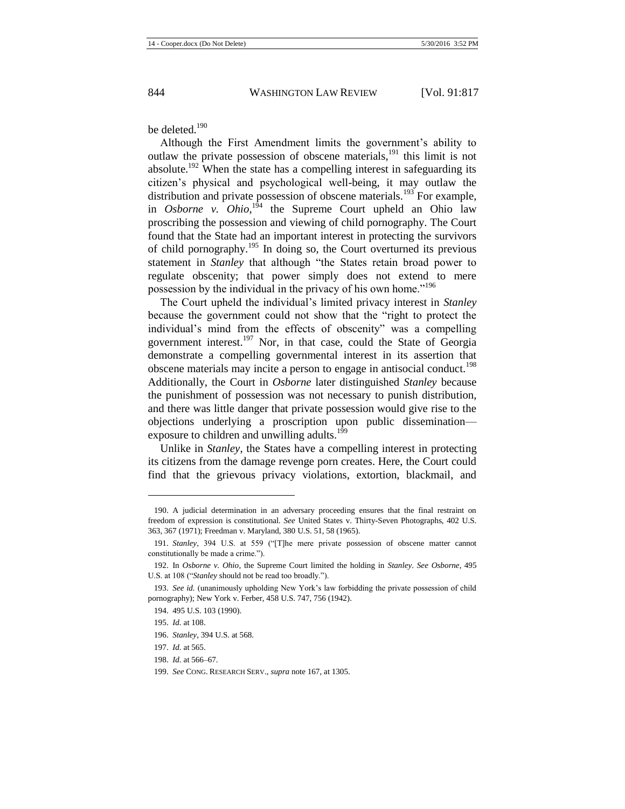be deleted. $190$ 

Although the First Amendment limits the government's ability to outlaw the private possession of obscene materials,<sup>191</sup> this limit is not absolute.<sup>192</sup> When the state has a compelling interest in safeguarding its citizen's physical and psychological well-being, it may outlaw the distribution and private possession of obscene materials.<sup>193</sup> For example, in *Osborne* v. *Ohio*,<sup> $194$ </sup> the Supreme Court upheld an Ohio law proscribing the possession and viewing of child pornography. The Court found that the State had an important interest in protecting the survivors of child pornography.<sup>195</sup> In doing so, the Court overturned its previous statement in *Stanley* that although "the States retain broad power to regulate obscenity; that power simply does not extend to mere possession by the individual in the privacy of his own home."<sup>196</sup>

The Court upheld the individual's limited privacy interest in *Stanley* because the government could not show that the "right to protect the individual's mind from the effects of obscenity" was a compelling government interest.<sup>197</sup> Nor, in that case, could the State of Georgia demonstrate a compelling governmental interest in its assertion that obscene materials may incite a person to engage in antisocial conduct.<sup>198</sup> Additionally, the Court in *Osborne* later distinguished *Stanley* because the punishment of possession was not necessary to punish distribution, and there was little danger that private possession would give rise to the objections underlying a proscription upon public dissemination exposure to children and unwilling adults.<sup>199</sup>

Unlike in *Stanley*, the States have a compelling interest in protecting its citizens from the damage revenge porn creates. Here, the Court could find that the grievous privacy violations, extortion, blackmail, and

<sup>190.</sup> A judicial determination in an adversary proceeding ensures that the final restraint on freedom of expression is constitutional. *See* United States v. Thirty-Seven Photographs, 402 U.S. 363, 367 (1971); Freedman v. Maryland, 380 U.S. 51, 58 (1965).

<sup>191.</sup> *Stanley*, 394 U.S. at 559 ("[T]he mere private possession of obscene matter cannot constitutionally be made a crime.").

<sup>192.</sup> In *Osborne v. Ohio*, the Supreme Court limited the holding in *Stanley*. *See Osborne*, 495 U.S. at 108 ("*Stanley* should not be read too broadly.").

<sup>193.</sup> *See id.* (unanimously upholding New York's law forbidding the private possession of child pornography); New York v. Ferber, 458 U.S. 747, 756 (1942).

<sup>194.</sup> 495 U.S. 103 (1990).

<sup>195.</sup> *Id.* at 108.

<sup>196.</sup> *Stanley*, 394 U.S. at 568.

<sup>197.</sup> *Id.* at 565.

<sup>198.</sup> *Id.* at 566–67.

<sup>199.</sup> *See* CONG. RESEARCH SERV., *supra* not[e 167,](#page-23-0) at 1305.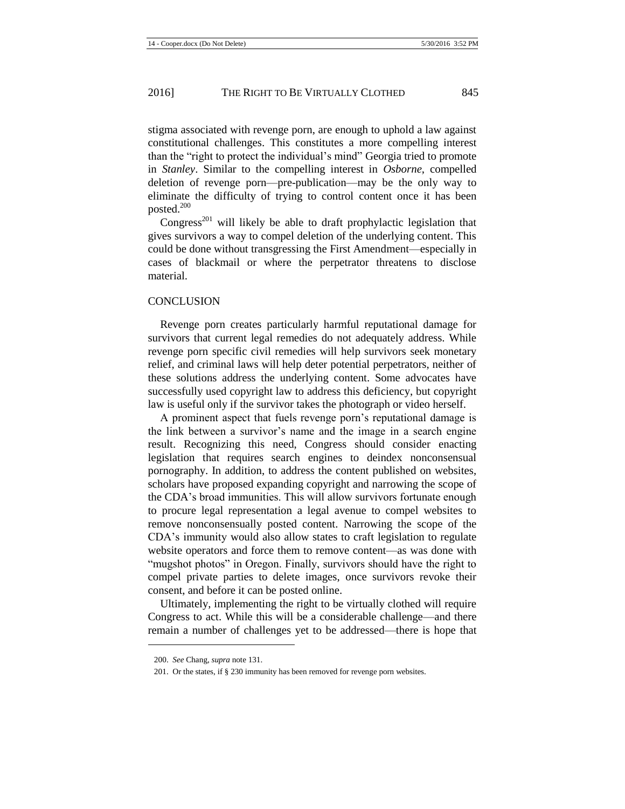stigma associated with revenge porn, are enough to uphold a law against constitutional challenges. This constitutes a more compelling interest than the "right to protect the individual's mind" Georgia tried to promote in *Stanley*. Similar to the compelling interest in *Osborne*, compelled deletion of revenge porn—pre-publication—may be the only way to eliminate the difficulty of trying to control content once it has been posted. $200$ 

Congress<sup>201</sup> will likely be able to draft prophylactic legislation that gives survivors a way to compel deletion of the underlying content. This could be done without transgressing the First Amendment—especially in cases of blackmail or where the perpetrator threatens to disclose material.

#### **CONCLUSION**

Revenge porn creates particularly harmful reputational damage for survivors that current legal remedies do not adequately address. While revenge porn specific civil remedies will help survivors seek monetary relief, and criminal laws will help deter potential perpetrators, neither of these solutions address the underlying content. Some advocates have successfully used copyright law to address this deficiency, but copyright law is useful only if the survivor takes the photograph or video herself.

A prominent aspect that fuels revenge porn's reputational damage is the link between a survivor's name and the image in a search engine result. Recognizing this need, Congress should consider enacting legislation that requires search engines to deindex nonconsensual pornography. In addition, to address the content published on websites, scholars have proposed expanding copyright and narrowing the scope of the CDA's broad immunities. This will allow survivors fortunate enough to procure legal representation a legal avenue to compel websites to remove nonconsensually posted content. Narrowing the scope of the CDA's immunity would also allow states to craft legislation to regulate website operators and force them to remove content—as was done with "mugshot photos" in Oregon. Finally, survivors should have the right to compel private parties to delete images, once survivors revoke their consent, and before it can be posted online.

Ultimately, implementing the right to be virtually clothed will require Congress to act. While this will be a considerable challenge—and there remain a number of challenges yet to be addressed—there is hope that

<sup>200.</sup> *See* Chang, *supra* not[e 131.](#page-17-0)

<sup>201.</sup> Or the states, if § 230 immunity has been removed for revenge porn websites.